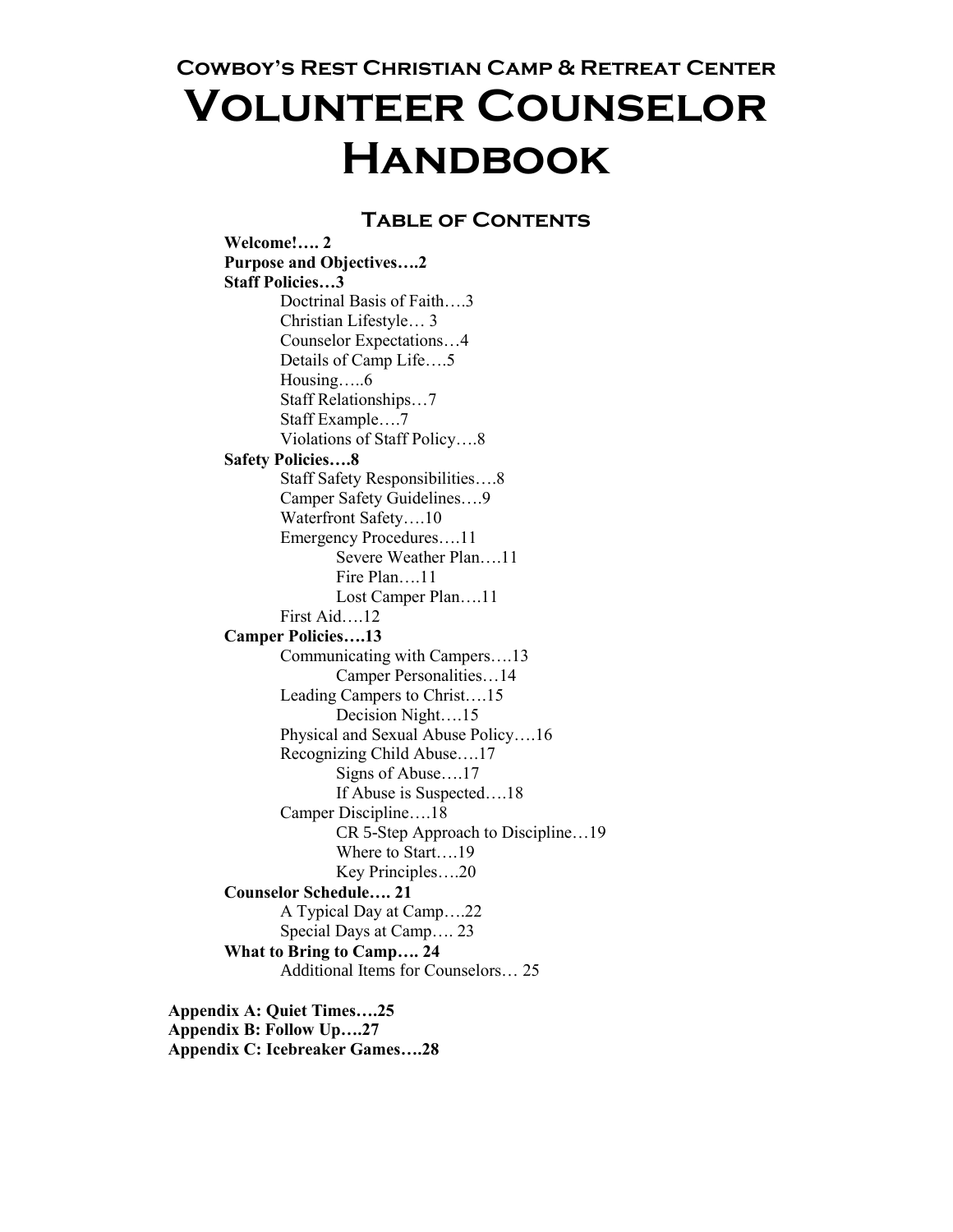**Cowboy's Rest Christian Camp & Retreat Center**

# **Volunteer Counselor Handbook**

## **Table of Contents**

**Welcome!…. 2 Purpose and Objectives….2 Staff Policies…3** Doctrinal Basis of Faith….3 Christian Lifestyle… 3 Counselor Expectations…4 Details of Camp Life….5 Housing…..6 Staff Relationships…7 Staff Example….7 Violations of Staff Policy….8 **Safety Policies….8** Staff Safety Responsibilities….8 Camper Safety Guidelines….9 Waterfront Safety….10 Emergency Procedures….11 Severe Weather Plan….11 Fire Plan….11 Lost Camper Plan….11 First Aid….12 **Camper Policies….13** Communicating with Campers….13 Camper Personalities…14 Leading Campers to Christ….15 Decision Night….15 Physical and Sexual Abuse Policy….16 Recognizing Child Abuse….17 Signs of Abuse….17 If Abuse is Suspected….18 Camper Discipline….18 CR 5-Step Approach to Discipline…19 Where to Start….19 Key Principles….20 **Counselor Schedule…. 21** A Typical Day at Camp….22 Special Days at Camp…. 23 **What to Bring to Camp…. 24** Additional Items for Counselors… 25

**Appendix A: Quiet Times….25 Appendix B: Follow Up….27 Appendix C: Icebreaker Games….28**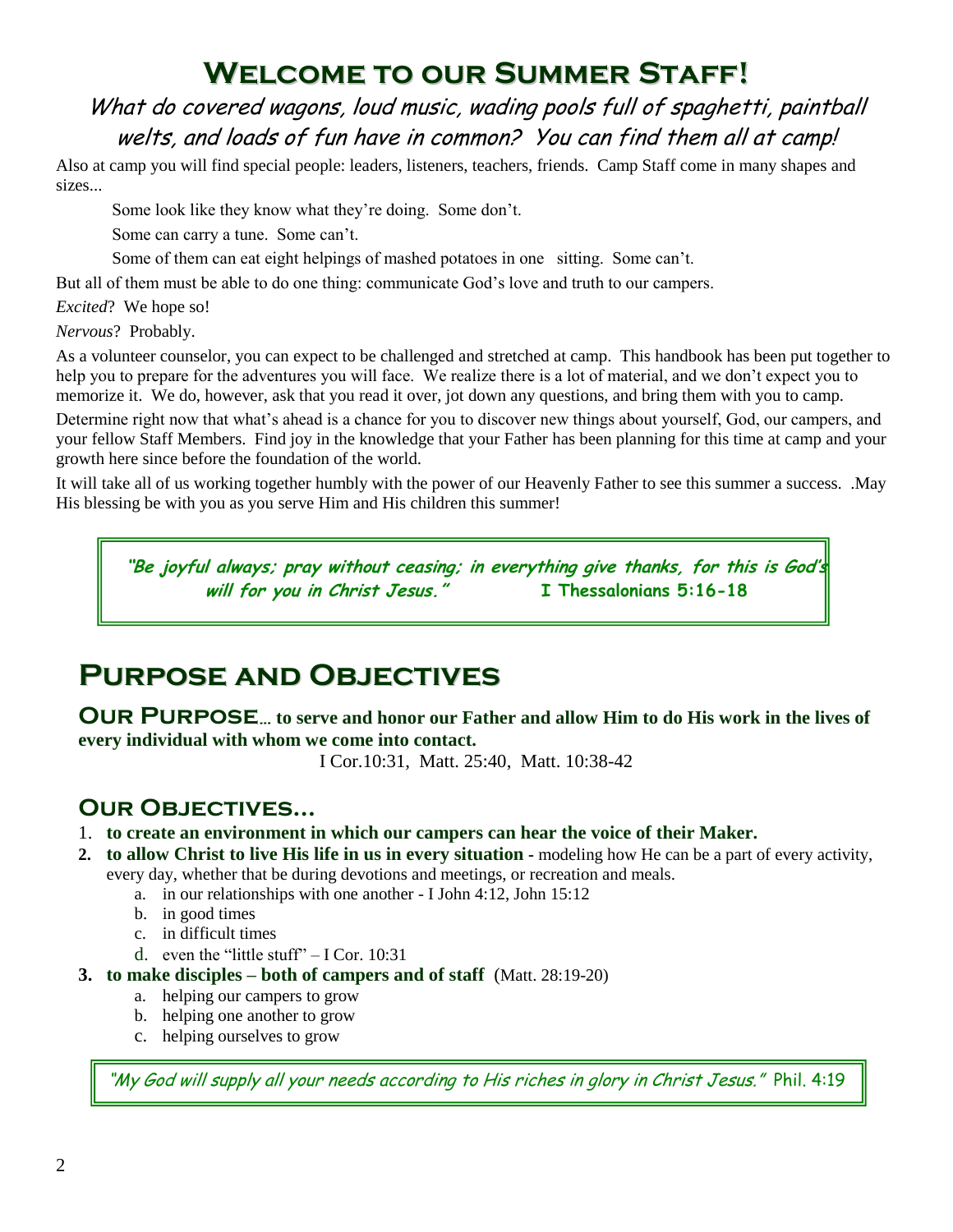## **Welcome to our Summer Staff!**

What do covered wagons, loud music, wading pools full of spaghetti, paintball welts, and loads of fun have in common? You can find them all at camp!

Also at camp you will find special people: leaders, listeners, teachers, friends. Camp Staff come in many shapes and sizes...

Some look like they know what they're doing. Some don't.

Some can carry a tune. Some can't.

Some of them can eat eight helpings of mashed potatoes in one sitting. Some can't.

But all of them must be able to do one thing: communicate God's love and truth to our campers.

*Excited*? We hope so!

*Nervous*? Probably.

As a volunteer counselor, you can expect to be challenged and stretched at camp. This handbook has been put together to help you to prepare for the adventures you will face. We realize there is a lot of material, and we don't expect you to memorize it. We do, however, ask that you read it over, jot down any questions, and bring them with you to camp.

Determine right now that what's ahead is a chance for you to discover new things about yourself, God, our campers, and your fellow Staff Members. Find joy in the knowledge that your Father has been planning for this time at camp and your growth here since before the foundation of the world.

It will take all of us working together humbly with the power of our Heavenly Father to see this summer a success. .May His blessing be with you as you serve Him and His children this summer!

**"Be joyful always; pray without ceasing; in everything give thanks, for this is God's will for you in Christ Jesus." I Thessalonians 5:16-18**

## **Purpose and Objectives**

**Our Purpose… to serve and honor our Father and allow Him to do His work in the lives of every individual with whom we come into contact.**

I Cor.10:31, Matt. 25:40, Matt. 10:38-42

## **Our Objectives…**

- 1. **to create an environment in which our campers can hear the voice of their Maker.**
- **2. to allow Christ to live His life in us in every situation -** modeling how He can be a part of every activity,
	- every day, whether that be during devotions and meetings, or recreation and meals.
		- a. in our relationships with one another I John 4:12, John 15:12
		- b. in good times
		- c. in difficult times
		- d. even the "little stuff"  $-$  I Cor. 10:31
- **3. to make disciples – both of campers and of staff** (Matt. 28:19-20)
	- a. helping our campers to grow
	- b. helping one another to grow
	- c. helping ourselves to grow

"My God will supply all your needs according to His riches in glory in Christ Jesus." Phil. 4:19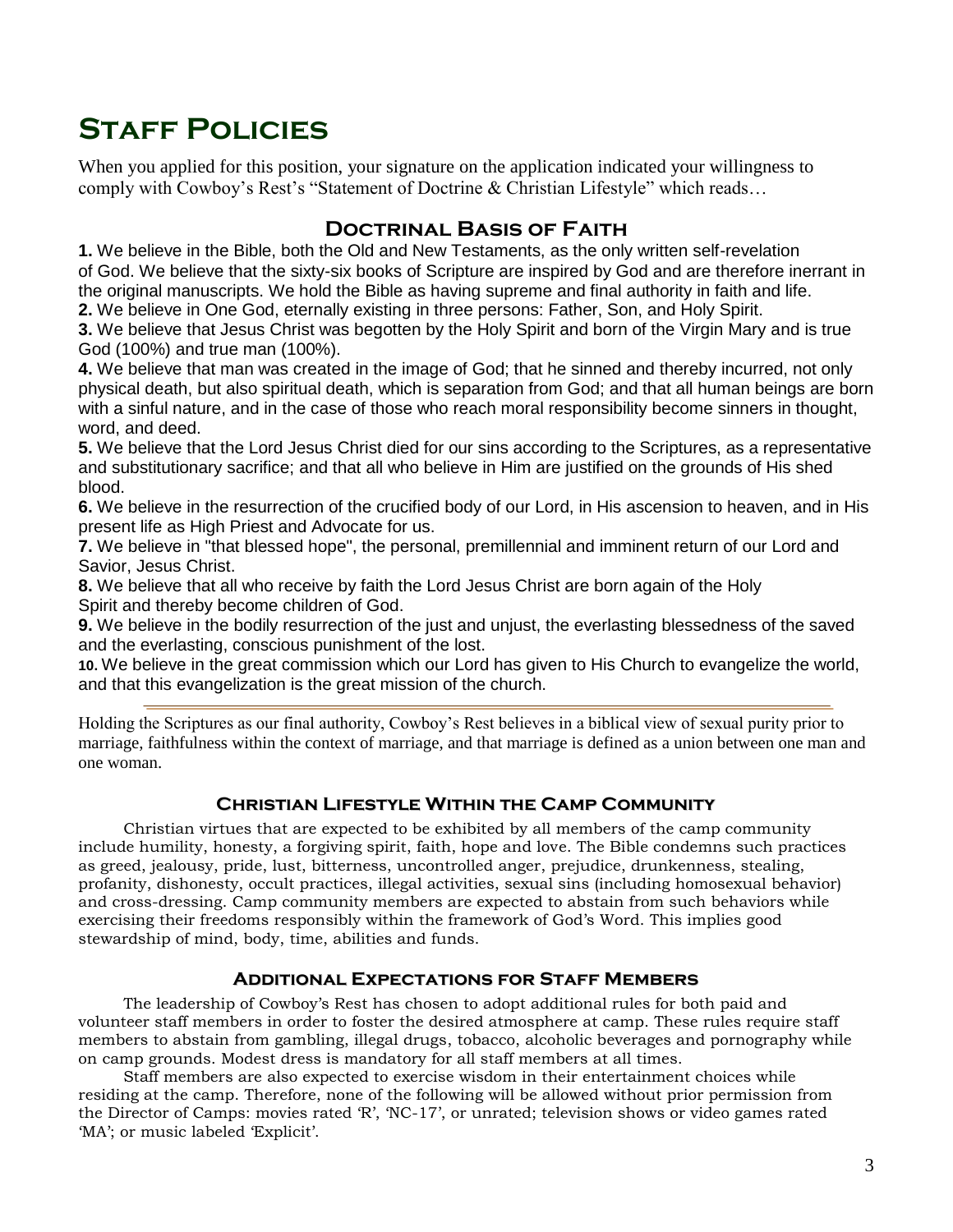## **Staff Policies**

When you applied for this position, your signature on the application indicated your willingness to comply with Cowboy's Rest's "Statement of Doctrine & Christian Lifestyle" which reads…

## **Doctrinal Basis of Faith**

**1.** We believe in the Bible, both the Old and New Testaments, as the only written self-revelation of God. We believe that the sixty-six books of Scripture are inspired by God and are therefore inerrant in the original manuscripts. We hold the Bible as having supreme and final authority in faith and life.

**2.** We believe in One God, eternally existing in three persons: Father, Son, and Holy Spirit.

**3.** We believe that Jesus Christ was begotten by the Holy Spirit and born of the Virgin Mary and is true God (100%) and true man (100%).

**4.** We believe that man was created in the image of God; that he sinned and thereby incurred, not only physical death, but also spiritual death, which is separation from God; and that all human beings are born with a sinful nature, and in the case of those who reach moral responsibility become sinners in thought, word, and deed.

**5.** We believe that the Lord Jesus Christ died for our sins according to the Scriptures, as a representative and substitutionary sacrifice; and that all who believe in Him are justified on the grounds of His shed blood.

**6.** We believe in the resurrection of the crucified body of our Lord, in His ascension to heaven, and in His present life as High Priest and Advocate for us.

**7.** We believe in "that blessed hope", the personal, premillennial and imminent return of our Lord and Savior, Jesus Christ.

**8.** We believe that all who receive by faith the Lord Jesus Christ are born again of the Holy Spirit and thereby become children of God.

**9.** We believe in the bodily resurrection of the just and unjust, the everlasting blessedness of the saved and the everlasting, conscious punishment of the lost.

**10.** We believe in the great commission which our Lord has given to His Church to evangelize the world, and that this evangelization is the great mission of the church.

Holding the Scriptures as our final authority, Cowboy's Rest believes in a biblical view of sexual purity prior to marriage, faithfulness within the context of marriage, and that marriage is defined as a union between one man and one woman.

## **Christian Lifestyle Within the Camp Community**

 Christian virtues that are expected to be exhibited by all members of the camp community include humility, honesty, a forgiving spirit, faith, hope and love. The Bible condemns such practices as greed, jealousy, pride, lust, bitterness, uncontrolled anger, prejudice, drunkenness, stealing, profanity, dishonesty, occult practices, illegal activities, sexual sins (including homosexual behavior) and cross-dressing. Camp community members are expected to abstain from such behaviors while exercising their freedoms responsibly within the framework of God's Word. This implies good stewardship of mind, body, time, abilities and funds.

## **Additional Expectations for Staff Members**

 The leadership of Cowboy's Rest has chosen to adopt additional rules for both paid and volunteer staff members in order to foster the desired atmosphere at camp. These rules require staff members to abstain from gambling, illegal drugs, tobacco, alcoholic beverages and pornography while on camp grounds. Modest dress is mandatory for all staff members at all times.

 Staff members are also expected to exercise wisdom in their entertainment choices while residing at the camp. Therefore, none of the following will be allowed without prior permission from the Director of Camps: movies rated 'R', 'NC-17', or unrated; television shows or video games rated 'MA'; or music labeled 'Explicit'.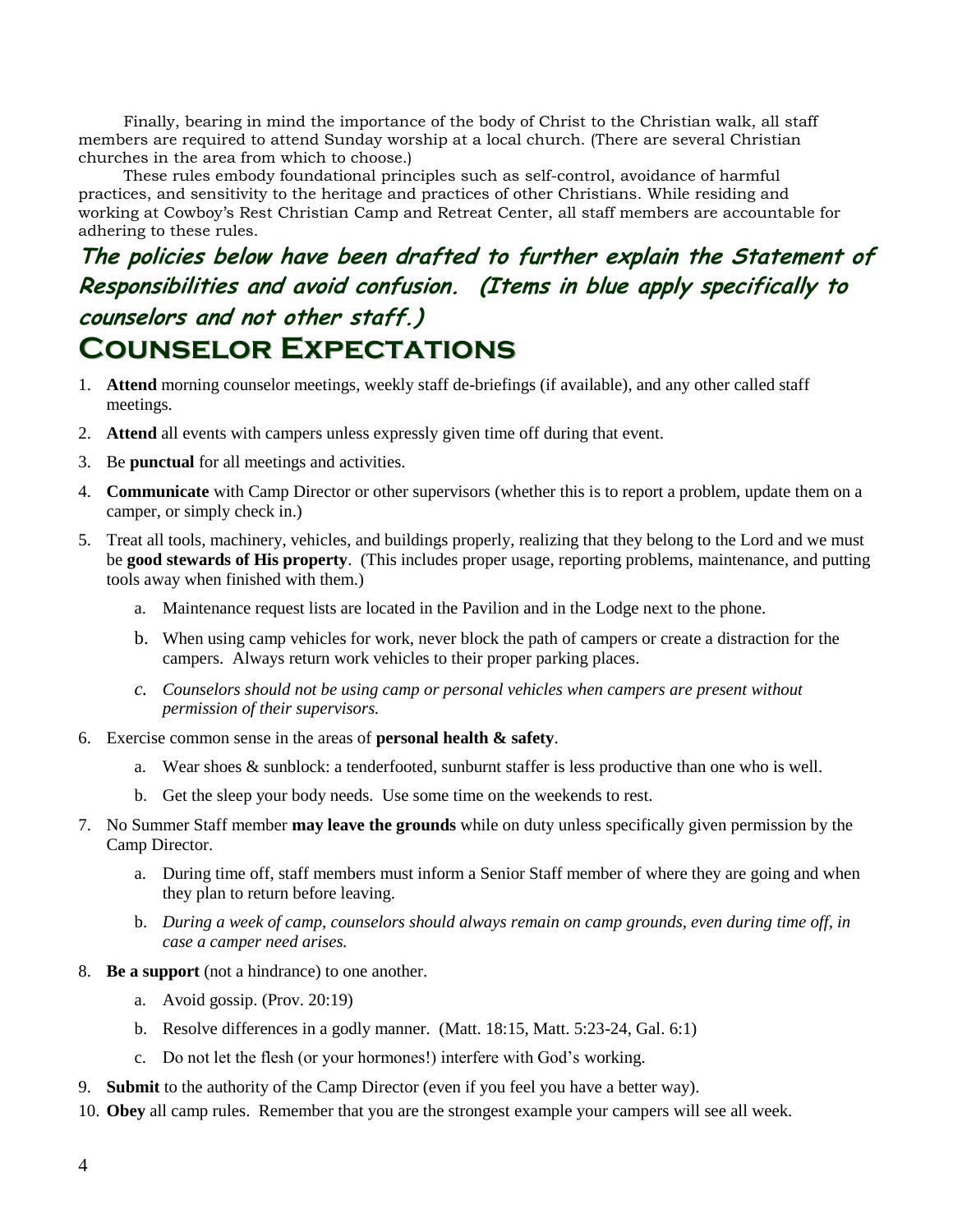Finally, bearing in mind the importance of the body of Christ to the Christian walk, all staff members are required to attend Sunday worship at a local church. (There are several Christian churches in the area from which to choose.)

 These rules embody foundational principles such as self-control, avoidance of harmful practices, and sensitivity to the heritage and practices of other Christians. While residing and working at Cowboy's Rest Christian Camp and Retreat Center, all staff members are accountable for adhering to these rules.

## **The policies below have been drafted to further explain the Statement of Responsibilities and avoid confusion. (Items in blue apply specifically to counselors and not other staff.) Counselor Expectations**

- 1. **Attend** morning counselor meetings, weekly staff de-briefings (if available), and any other called staff meetings.
- 2. **Attend** all events with campers unless expressly given time off during that event.
- 3. Be **punctual** for all meetings and activities.
- 4. **Communicate** with Camp Director or other supervisors (whether this is to report a problem, update them on a camper, or simply check in.)
- 5. Treat all tools, machinery, vehicles, and buildings properly, realizing that they belong to the Lord and we must be **good stewards of His property**. (This includes proper usage, reporting problems, maintenance, and putting tools away when finished with them.)
	- a. Maintenance request lists are located in the Pavilion and in the Lodge next to the phone.
	- b. When using camp vehicles for work, never block the path of campers or create a distraction for the campers. Always return work vehicles to their proper parking places.
	- *c. Counselors should not be using camp or personal vehicles when campers are present without permission of their supervisors.*
- 6. Exercise common sense in the areas of **personal health & safety**.
	- a. Wear shoes & sunblock: a tenderfooted, sunburnt staffer is less productive than one who is well.
	- b. Get the sleep your body needs. Use some time on the weekends to rest.
- 7. No Summer Staff member **may leave the grounds** while on duty unless specifically given permission by the Camp Director.
	- a. During time off, staff members must inform a Senior Staff member of where they are going and when they plan to return before leaving.
	- b. *During a week of camp, counselors should always remain on camp grounds, even during time off, in case a camper need arises.*
- 8. **Be a support** (not a hindrance) to one another.
	- a. Avoid gossip. (Prov. 20:19)
	- b. Resolve differences in a godly manner. (Matt. 18:15, Matt. 5:23-24, Gal. 6:1)
	- c. Do not let the flesh (or your hormones!) interfere with God's working.
- 9. **Submit** to the authority of the Camp Director (even if you feel you have a better way).
- 10. **Obey** all camp rules. Remember that you are the strongest example your campers will see all week.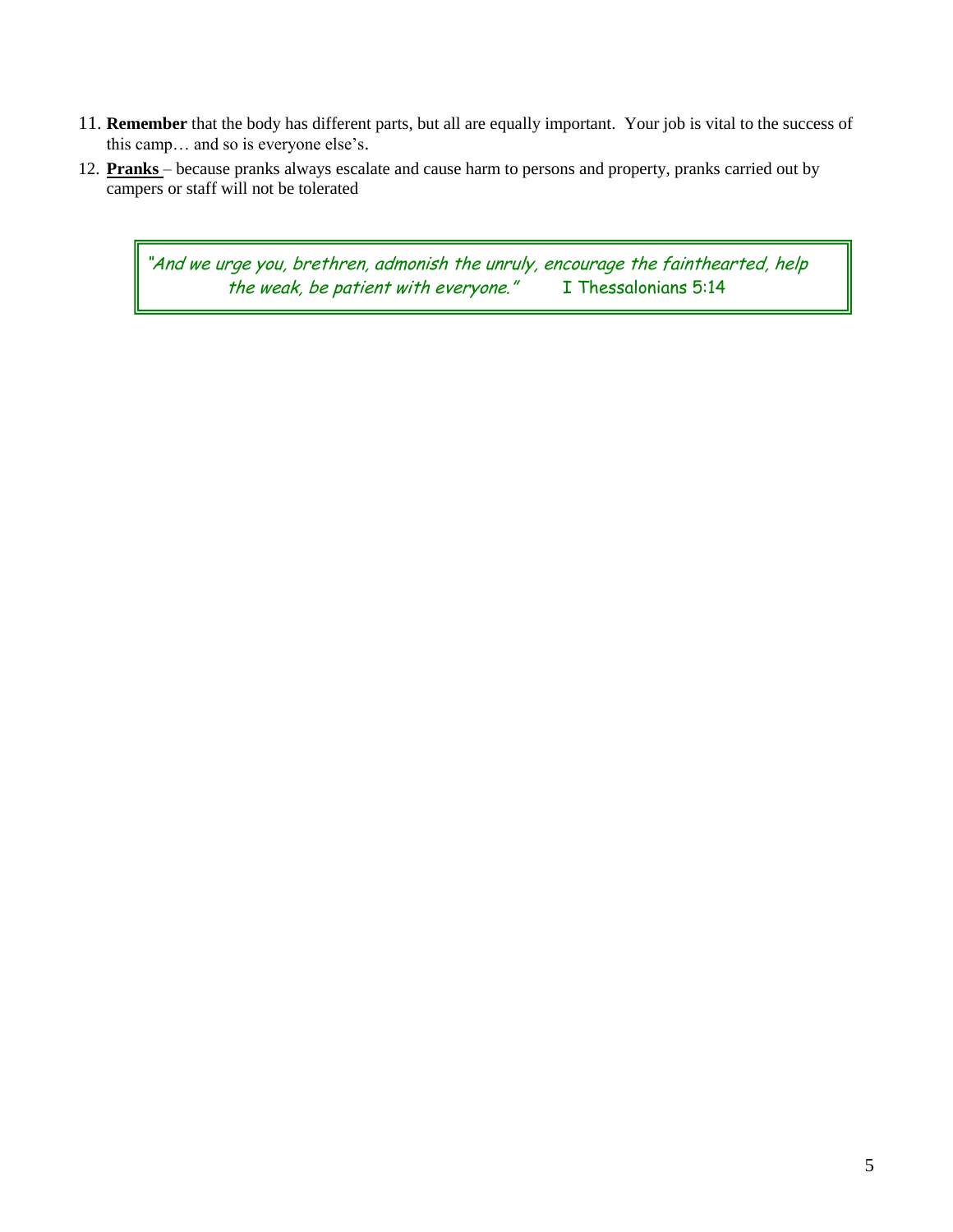- 11. **Remember** that the body has different parts, but all are equally important. Your job is vital to the success of this camp… and so is everyone else's.
- 12. **Pranks** because pranks always escalate and cause harm to persons and property, pranks carried out by campers or staff will not be tolerated

"And we urge you, brethren, admonish the unruly, encourage the fainthearted, help<br>the weak, be patient with everyone." I Thessalonians 5:14 the weak, be patient with everyone."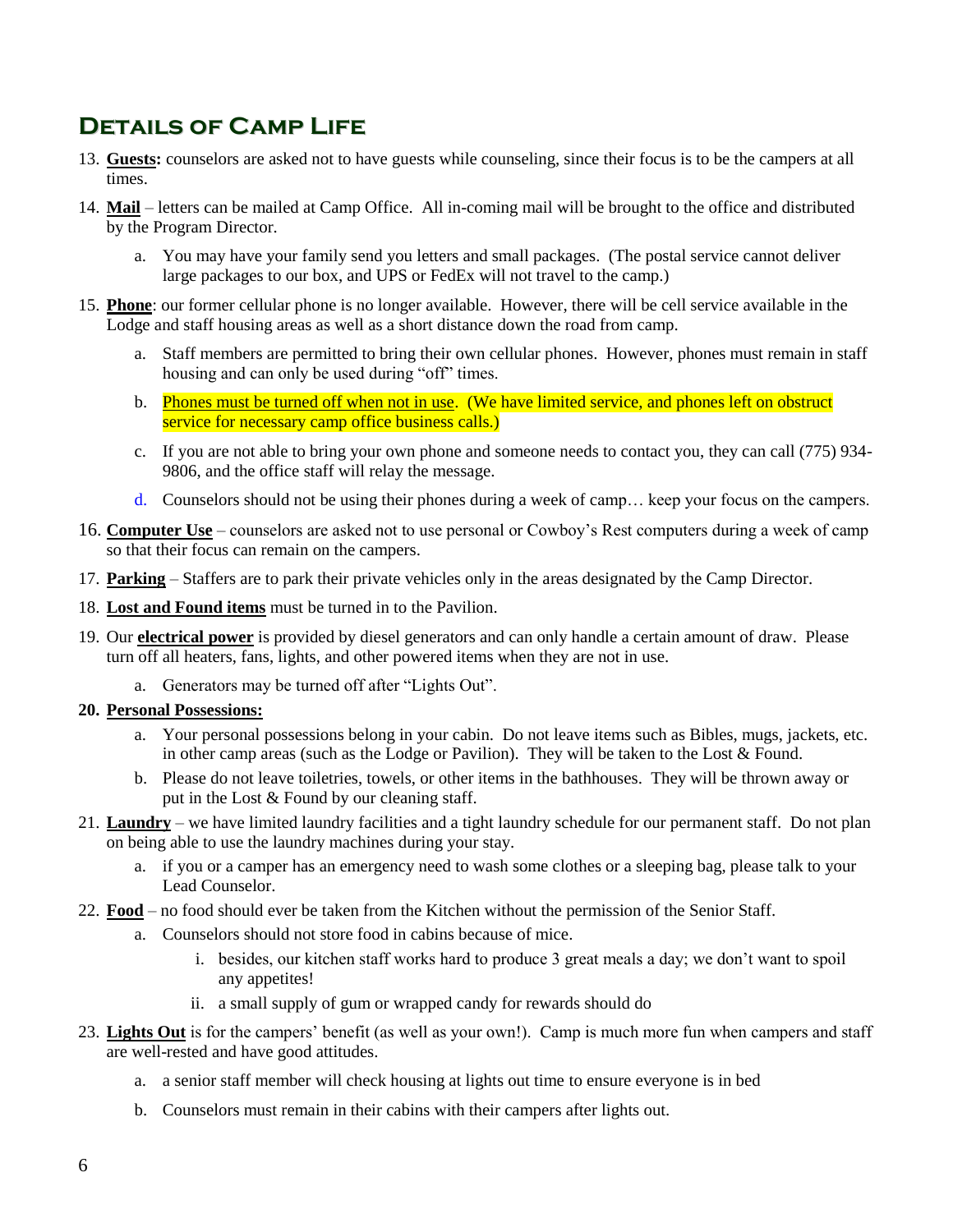## **Details of Camp Life**

- 13. **Guests:** counselors are asked not to have guests while counseling, since their focus is to be the campers at all times.
- 14. **Mail** letters can be mailed at Camp Office. All in-coming mail will be brought to the office and distributed by the Program Director.
	- a. You may have your family send you letters and small packages. (The postal service cannot deliver large packages to our box, and UPS or FedEx will not travel to the camp.)
- 15. **Phone**: our former cellular phone is no longer available. However, there will be cell service available in the Lodge and staff housing areas as well as a short distance down the road from camp.
	- a. Staff members are permitted to bring their own cellular phones. However, phones must remain in staff housing and can only be used during "off" times.
	- b. Phones must be turned off when not in use. (We have limited service, and phones left on obstruct service for necessary camp office business calls.)
	- c. If you are not able to bring your own phone and someone needs to contact you, they can call (775) 934- 9806, and the office staff will relay the message.
	- d. Counselors should not be using their phones during a week of camp… keep your focus on the campers.
- 16. **Computer Use** counselors are asked not to use personal or Cowboy's Rest computers during a week of camp so that their focus can remain on the campers.
- 17. **Parking** Staffers are to park their private vehicles only in the areas designated by the Camp Director.
- 18. **Lost and Found items** must be turned in to the Pavilion.
- 19. Our **electrical power** is provided by diesel generators and can only handle a certain amount of draw. Please turn off all heaters, fans, lights, and other powered items when they are not in use.
	- a. Generators may be turned off after "Lights Out".
- **20. Personal Possessions:**
	- a. Your personal possessions belong in your cabin. Do not leave items such as Bibles, mugs, jackets, etc. in other camp areas (such as the Lodge or Pavilion). They will be taken to the Lost & Found.
	- b. Please do not leave toiletries, towels, or other items in the bathhouses. They will be thrown away or put in the Lost & Found by our cleaning staff.
- 21. **Laundry** we have limited laundry facilities and a tight laundry schedule for our permanent staff. Do not plan on being able to use the laundry machines during your stay.
	- a. if you or a camper has an emergency need to wash some clothes or a sleeping bag, please talk to your Lead Counselor.
- 22. **Food** no food should ever be taken from the Kitchen without the permission of the Senior Staff.
	- a. Counselors should not store food in cabins because of mice.
		- i. besides, our kitchen staff works hard to produce 3 great meals a day; we don't want to spoil any appetites!
		- ii. a small supply of gum or wrapped candy for rewards should do
- 23. **Lights Out** is for the campers' benefit (as well as your own!). Camp is much more fun when campers and staff are well-rested and have good attitudes.
	- a. a senior staff member will check housing at lights out time to ensure everyone is in bed
	- b. Counselors must remain in their cabins with their campers after lights out.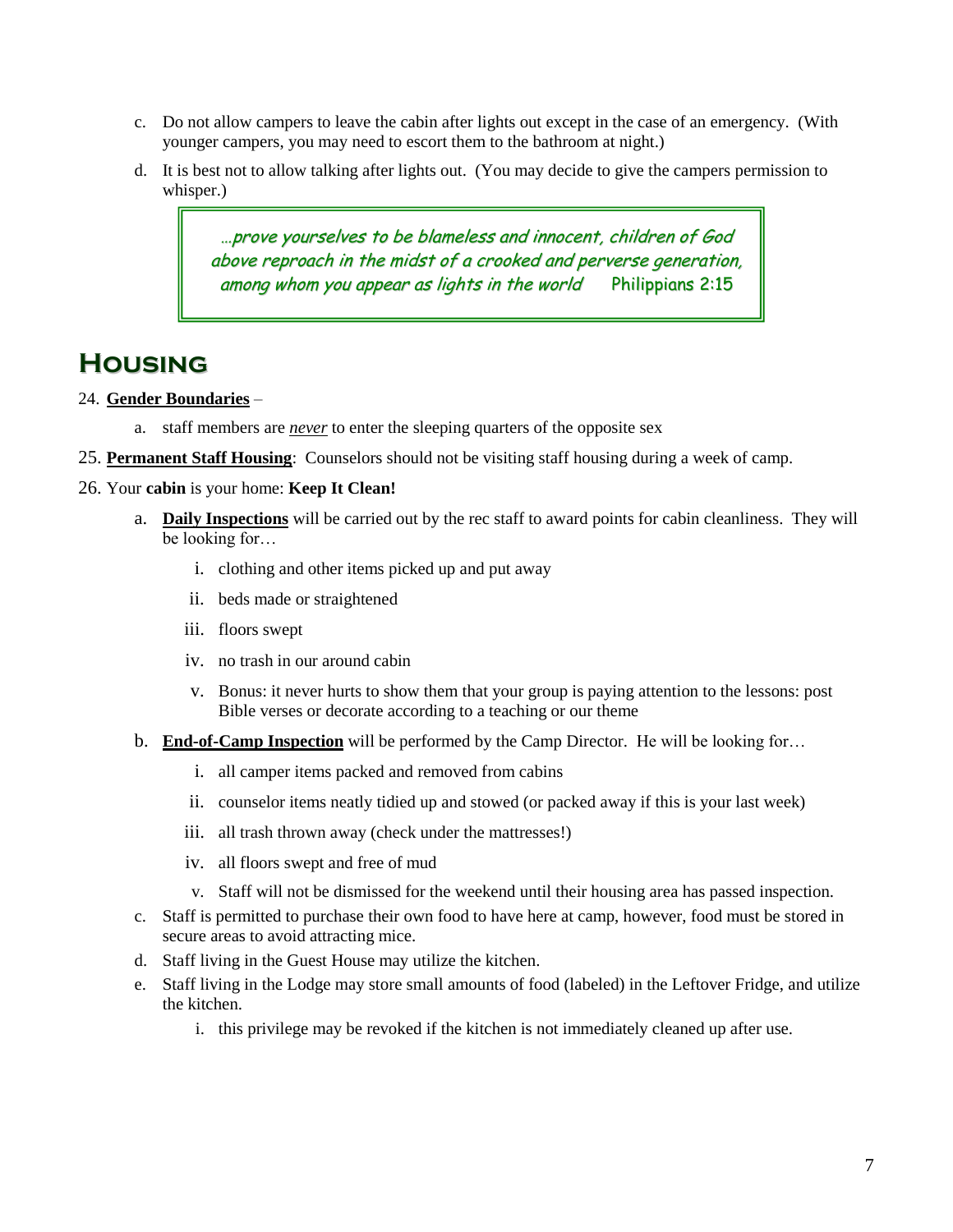- c. Do not allow campers to leave the cabin after lights out except in the case of an emergency. (With younger campers, you may need to escort them to the bathroom at night.)
- d. It is best not to allow talking after lights out. (You may decide to give the campers permission to whisper.)

…prove yourselves to be blameless and innocent, children of God above reproach in the midst of <sup>a</sup> crooked and perverse generation, among whom you appear as lights in the world Philippians 2:15

## **Housing**

## 24. **Gender Boundaries** –

- a. staff members are *never* to enter the sleeping quarters of the opposite sex
- 25. **Permanent Staff Housing**: Counselors should not be visiting staff housing during a week of camp.
- 26. Your **cabin** is your home: **Keep It Clean!**
	- a. **Daily Inspections** will be carried out by the rec staff to award points for cabin cleanliness. They will be looking for…
		- i. clothing and other items picked up and put away
		- ii. beds made or straightened
		- iii. floors swept
		- iv. no trash in our around cabin
		- v. Bonus: it never hurts to show them that your group is paying attention to the lessons: post Bible verses or decorate according to a teaching or our theme
	- b. **End-of-Camp Inspection** will be performed by the Camp Director. He will be looking for…
		- i. all camper items packed and removed from cabins
		- ii. counselor items neatly tidied up and stowed (or packed away if this is your last week)
		- iii. all trash thrown away (check under the mattresses!)
		- iv. all floors swept and free of mud
		- v. Staff will not be dismissed for the weekend until their housing area has passed inspection.
	- c. Staff is permitted to purchase their own food to have here at camp, however, food must be stored in secure areas to avoid attracting mice.
	- d. Staff living in the Guest House may utilize the kitchen.
	- e. Staff living in the Lodge may store small amounts of food (labeled) in the Leftover Fridge, and utilize the kitchen.
		- i. this privilege may be revoked if the kitchen is not immediately cleaned up after use.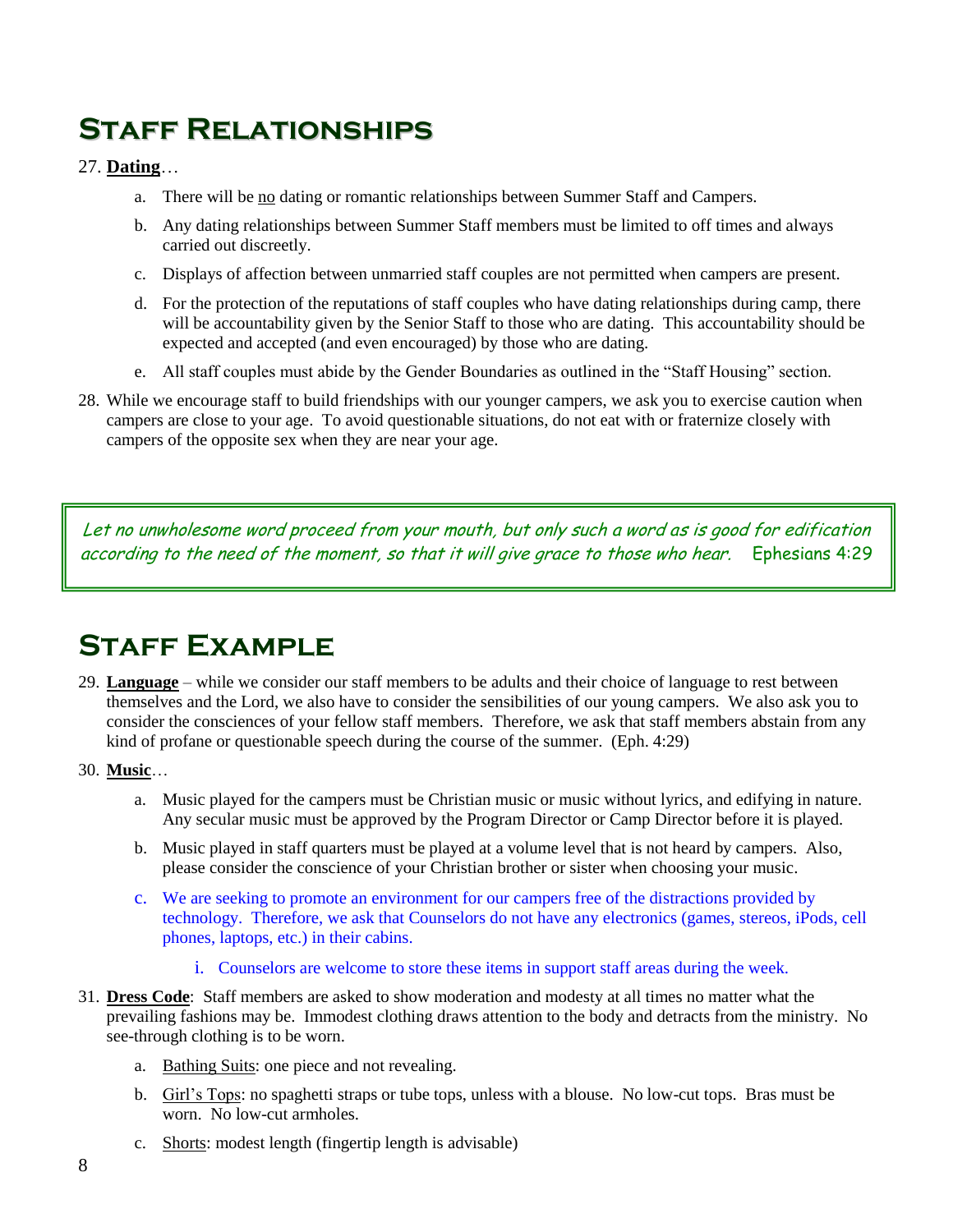## **Staff Relationships**

## 27. **Dating**…

- a. There will be no dating or romantic relationships between Summer Staff and Campers.
- b. Any dating relationships between Summer Staff members must be limited to off times and always carried out discreetly.
- c. Displays of affection between unmarried staff couples are not permitted when campers are present.
- d. For the protection of the reputations of staff couples who have dating relationships during camp, there will be accountability given by the Senior Staff to those who are dating. This accountability should be expected and accepted (and even encouraged) by those who are dating.
- e. All staff couples must abide by the Gender Boundaries as outlined in the "Staff Housing" section.
- 28. While we encourage staff to build friendships with our younger campers, we ask you to exercise caution when campers are close to your age. To avoid questionable situations, do not eat with or fraternize closely with campers of the opposite sex when they are near your age.

Let no unwholesome word proceed from your mouth, but only such a word as is good for edification according to the need of the moment, so that it will give grace to those who hear. Ephesians 4:29

## **Staff Example**

- 29. **Language** while we consider our staff members to be adults and their choice of language to rest between themselves and the Lord, we also have to consider the sensibilities of our young campers. We also ask you to consider the consciences of your fellow staff members. Therefore, we ask that staff members abstain from any kind of profane or questionable speech during the course of the summer. (Eph. 4:29)
- 30. **Music**…
	- a. Music played for the campers must be Christian music or music without lyrics, and edifying in nature. Any secular music must be approved by the Program Director or Camp Director before it is played.
	- b. Music played in staff quarters must be played at a volume level that is not heard by campers. Also, please consider the conscience of your Christian brother or sister when choosing your music.
	- c. We are seeking to promote an environment for our campers free of the distractions provided by technology. Therefore, we ask that Counselors do not have any electronics (games, stereos, iPods, cell phones, laptops, etc.) in their cabins.
		- i. Counselors are welcome to store these items in support staff areas during the week.
- 31. **Dress Code**: Staff members are asked to show moderation and modesty at all times no matter what the prevailing fashions may be. Immodest clothing draws attention to the body and detracts from the ministry. No see-through clothing is to be worn.
	- a. Bathing Suits: one piece and not revealing.
	- b. Girl's Tops: no spaghetti straps or tube tops, unless with a blouse. No low-cut tops. Bras must be worn. No low-cut armholes.
	- c. Shorts: modest length (fingertip length is advisable)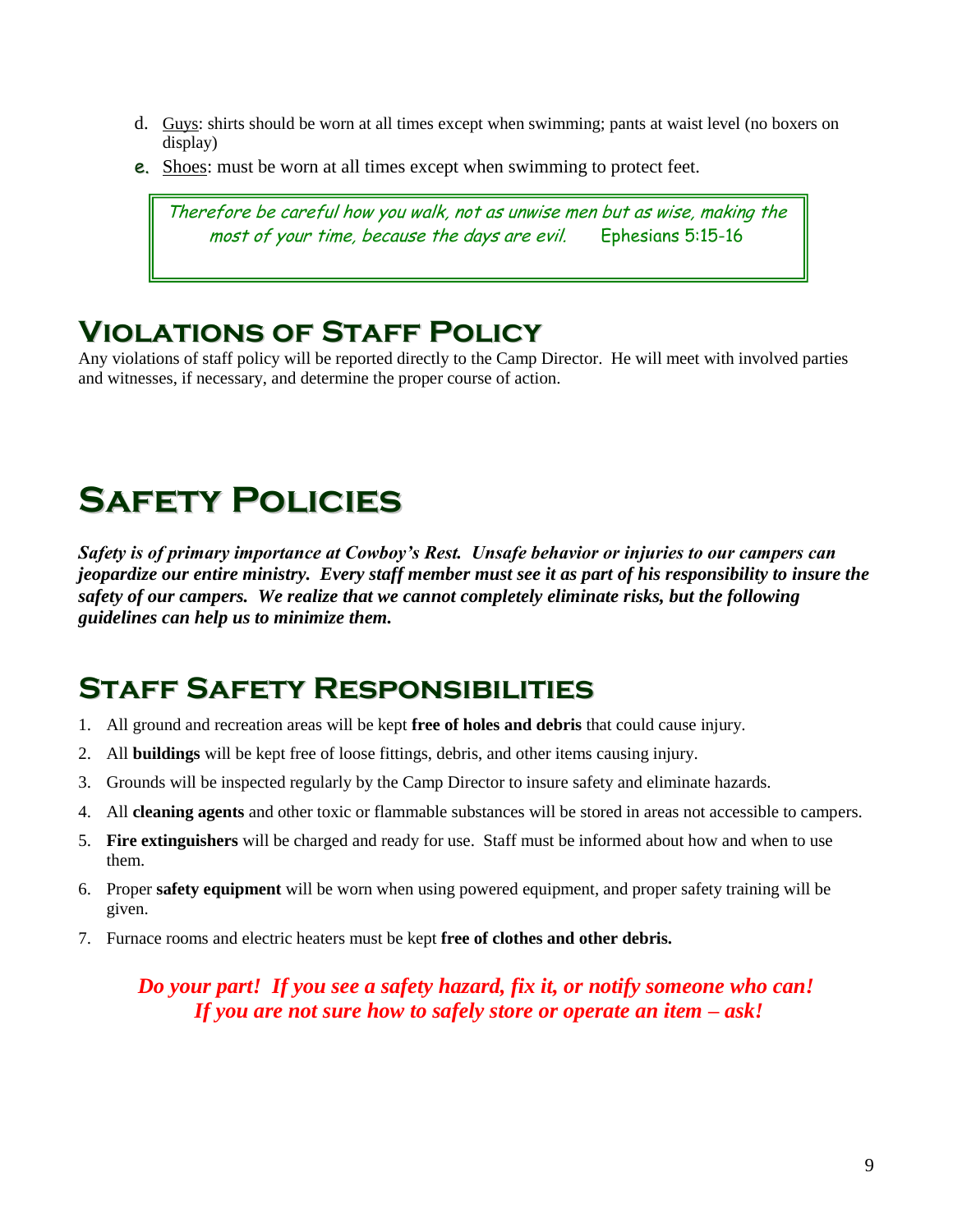- d. Guys: shirts should be worn at all times except when swimming; pants at waist level (no boxers on display)
- e. Shoes: must be worn at all times except when swimming to protect feet.

Therefore be careful how you walk, not as unwise men but as wise, making the most of your time, because the days are evil. Ephesians 5:15-16

## **Violations of Staff Policy**

Any violations of staff policy will be reported directly to the Camp Director. He will meet with involved parties and witnesses, if necessary, and determine the proper course of action.

## **Safety Policies**

*Safety is of primary importance at Cowboy's Rest. Unsafe behavior or injuries to our campers can jeopardize our entire ministry. Every staff member must see it as part of his responsibility to insure the safety of our campers. We realize that we cannot completely eliminate risks, but the following guidelines can help us to minimize them.*

## **Staff Safety Responsibilities**

- 1. All ground and recreation areas will be kept **free of holes and debris** that could cause injury.
- 2. All **buildings** will be kept free of loose fittings, debris, and other items causing injury.
- 3. Grounds will be inspected regularly by the Camp Director to insure safety and eliminate hazards.
- 4. All **cleaning agents** and other toxic or flammable substances will be stored in areas not accessible to campers.
- 5. **Fire extinguishers** will be charged and ready for use. Staff must be informed about how and when to use them.
- 6. Proper **safety equipment** will be worn when using powered equipment, and proper safety training will be given.
- 7. Furnace rooms and electric heaters must be kept **free of clothes and other debris.**

*Do your part! If you see a safety hazard, fix it, or notify someone who can! If you are not sure how to safely store or operate an item – ask!*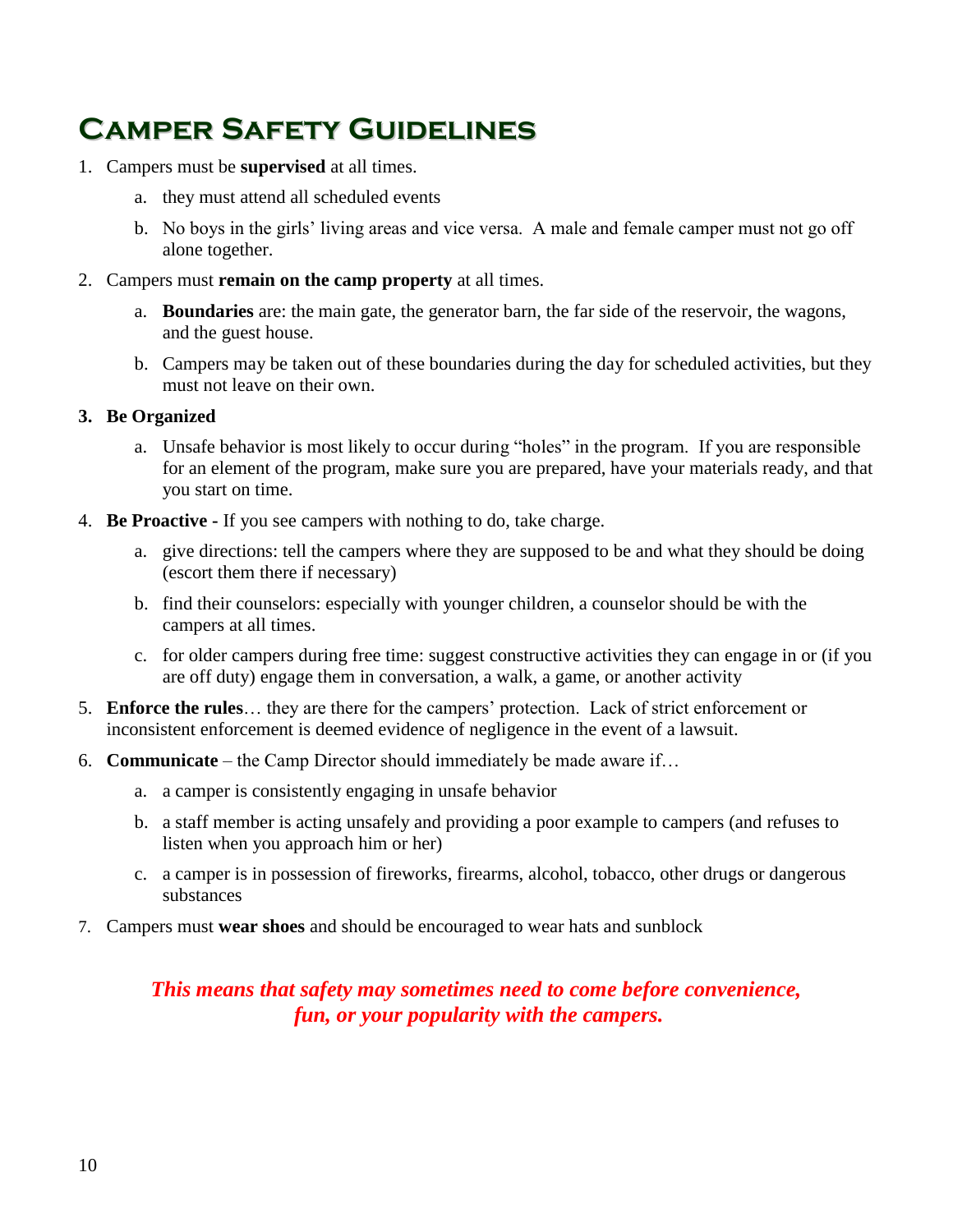## **Camper Safety Guidelines**

- 1. Campers must be **supervised** at all times.
	- a. they must attend all scheduled events
	- b. No boys in the girls' living areas and vice versa. A male and female camper must not go off alone together.
- 2. Campers must **remain on the camp property** at all times.
	- a. **Boundaries** are: the main gate, the generator barn, the far side of the reservoir, the wagons, and the guest house.
	- b. Campers may be taken out of these boundaries during the day for scheduled activities, but they must not leave on their own.

### **3. Be Organized**

- a. Unsafe behavior is most likely to occur during "holes" in the program. If you are responsible for an element of the program, make sure you are prepared, have your materials ready, and that you start on time.
- 4. **Be Proactive -** If you see campers with nothing to do, take charge.
	- a. give directions: tell the campers where they are supposed to be and what they should be doing (escort them there if necessary)
	- b. find their counselors: especially with younger children, a counselor should be with the campers at all times.
	- c. for older campers during free time: suggest constructive activities they can engage in or (if you are off duty) engage them in conversation, a walk, a game, or another activity
- 5. **Enforce the rules**… they are there for the campers' protection. Lack of strict enforcement or inconsistent enforcement is deemed evidence of negligence in the event of a lawsuit.
- 6. **Communicate** the Camp Director should immediately be made aware if…
	- a. a camper is consistently engaging in unsafe behavior
	- b. a staff member is acting unsafely and providing a poor example to campers (and refuses to listen when you approach him or her)
	- c. a camper is in possession of fireworks, firearms, alcohol, tobacco, other drugs or dangerous substances
- 7. Campers must **wear shoes** and should be encouraged to wear hats and sunblock

## *This means that safety may sometimes need to come before convenience, fun, or your popularity with the campers.*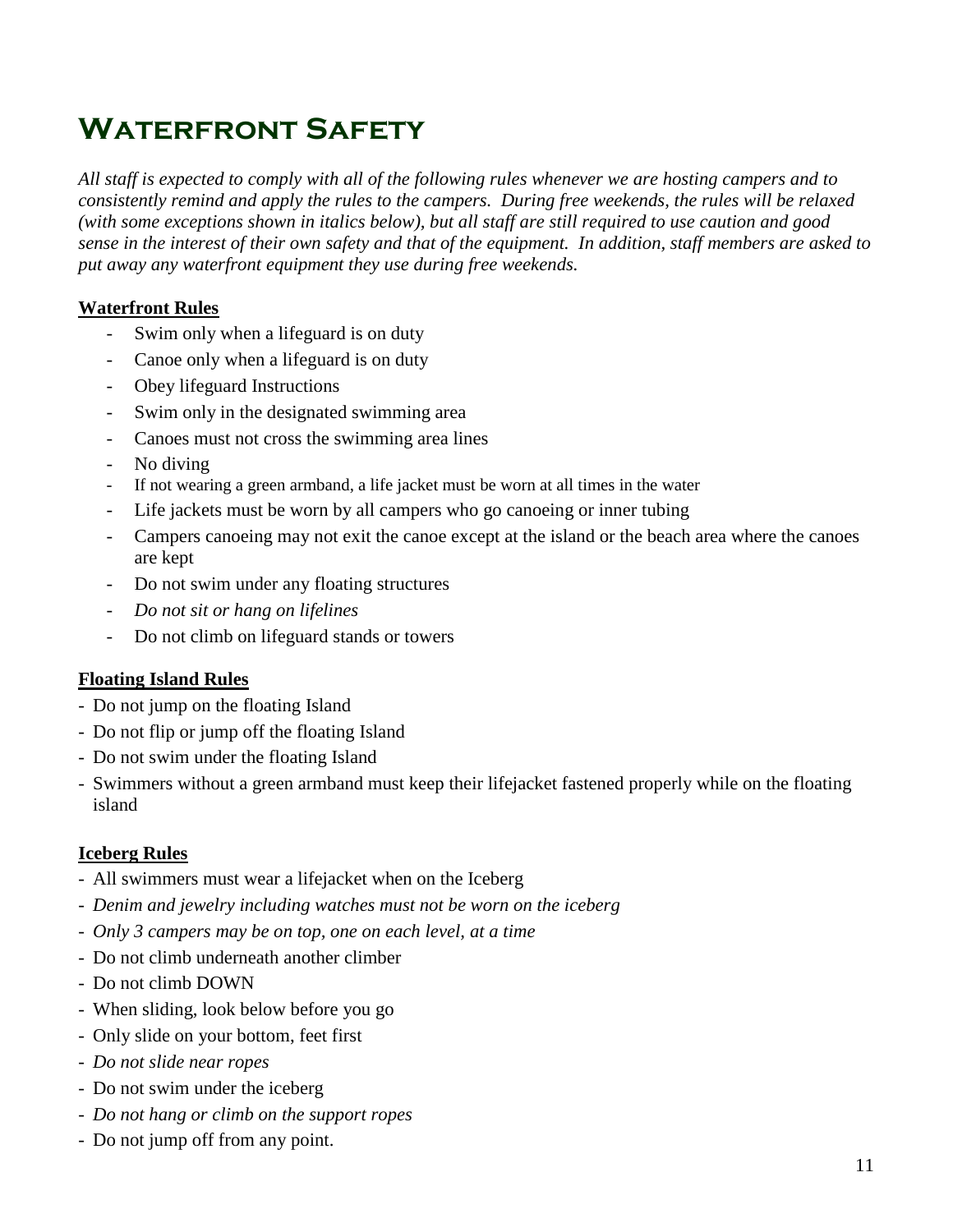## **Waterfront Safety**

*All staff is expected to comply with all of the following rules whenever we are hosting campers and to consistently remind and apply the rules to the campers. During free weekends, the rules will be relaxed (with some exceptions shown in italics below), but all staff are still required to use caution and good sense in the interest of their own safety and that of the equipment. In addition, staff members are asked to put away any waterfront equipment they use during free weekends.*

## **Waterfront Rules**

- Swim only when a lifeguard is on duty
- Canoe only when a lifeguard is on duty
- Obey lifeguard Instructions
- Swim only in the designated swimming area
- Canoes must not cross the swimming area lines
- No diving
- If not wearing a green armband, a life jacket must be worn at all times in the water
- Life jackets must be worn by all campers who go canoeing or inner tubing
- Campers canoeing may not exit the canoe except at the island or the beach area where the canoes are kept
- Do not swim under any floating structures
- *Do not sit or hang on lifelines*
- Do not climb on lifeguard stands or towers

## **Floating Island Rules**

- Do not jump on the floating Island
- Do not flip or jump off the floating Island
- Do not swim under the floating Island
- Swimmers without a green armband must keep their lifejacket fastened properly while on the floating island

## **Iceberg Rules**

- All swimmers must wear a lifejacket when on the Iceberg
- *Denim and jewelry including watches must not be worn on the iceberg*
- *Only 3 campers may be on top, one on each level, at a time*
- Do not climb underneath another climber
- Do not climb DOWN
- When sliding, look below before you go
- Only slide on your bottom, feet first
- *Do not slide near ropes*
- Do not swim under the iceberg
- *Do not hang or climb on the support ropes*
- Do not jump off from any point.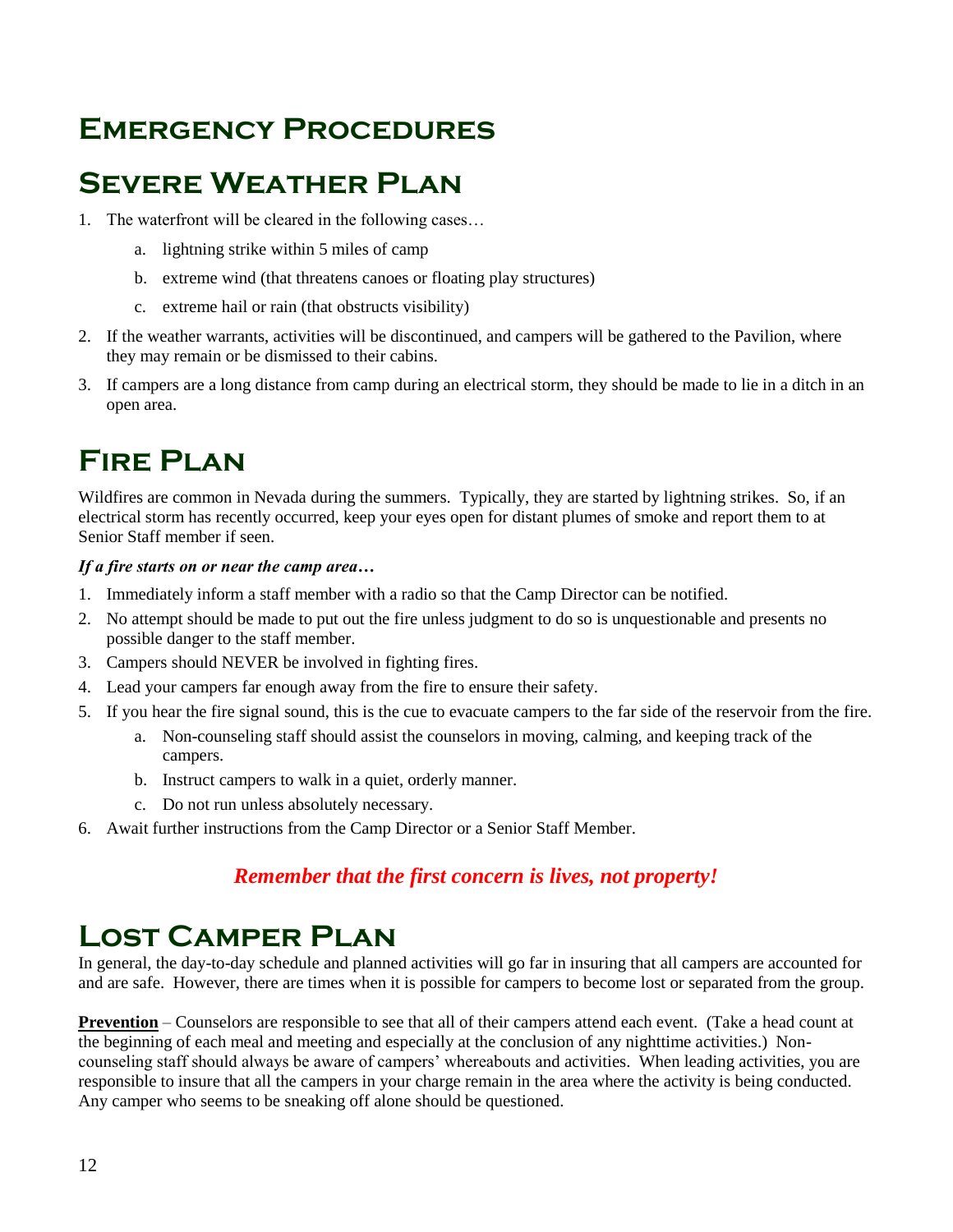## **Emergency Procedures**

## **Severe Weather Plan**

- 1. The waterfront will be cleared in the following cases…
	- a. lightning strike within 5 miles of camp
	- b. extreme wind (that threatens canoes or floating play structures)
	- c. extreme hail or rain (that obstructs visibility)
- 2. If the weather warrants, activities will be discontinued, and campers will be gathered to the Pavilion, where they may remain or be dismissed to their cabins.
- 3. If campers are a long distance from camp during an electrical storm, they should be made to lie in a ditch in an open area.

## **Fire Plan**

Wildfires are common in Nevada during the summers. Typically, they are started by lightning strikes. So, if an electrical storm has recently occurred, keep your eyes open for distant plumes of smoke and report them to at Senior Staff member if seen.

### *If a fire starts on or near the camp area…*

- 1. Immediately inform a staff member with a radio so that the Camp Director can be notified.
- 2. No attempt should be made to put out the fire unless judgment to do so is unquestionable and presents no possible danger to the staff member.
- 3. Campers should NEVER be involved in fighting fires.
- 4. Lead your campers far enough away from the fire to ensure their safety.
- 5. If you hear the fire signal sound, this is the cue to evacuate campers to the far side of the reservoir from the fire.
	- a. Non-counseling staff should assist the counselors in moving, calming, and keeping track of the campers.
	- b. Instruct campers to walk in a quiet, orderly manner.
	- c. Do not run unless absolutely necessary.
- 6. Await further instructions from the Camp Director or a Senior Staff Member.

## *Remember that the first concern is lives, not property!*

## **Lost Camper Plan**

In general, the day-to-day schedule and planned activities will go far in insuring that all campers are accounted for and are safe. However, there are times when it is possible for campers to become lost or separated from the group.

**Prevention** – Counselors are responsible to see that all of their campers attend each event. (Take a head count at the beginning of each meal and meeting and especially at the conclusion of any nighttime activities.) Noncounseling staff should always be aware of campers' whereabouts and activities. When leading activities, you are responsible to insure that all the campers in your charge remain in the area where the activity is being conducted. Any camper who seems to be sneaking off alone should be questioned.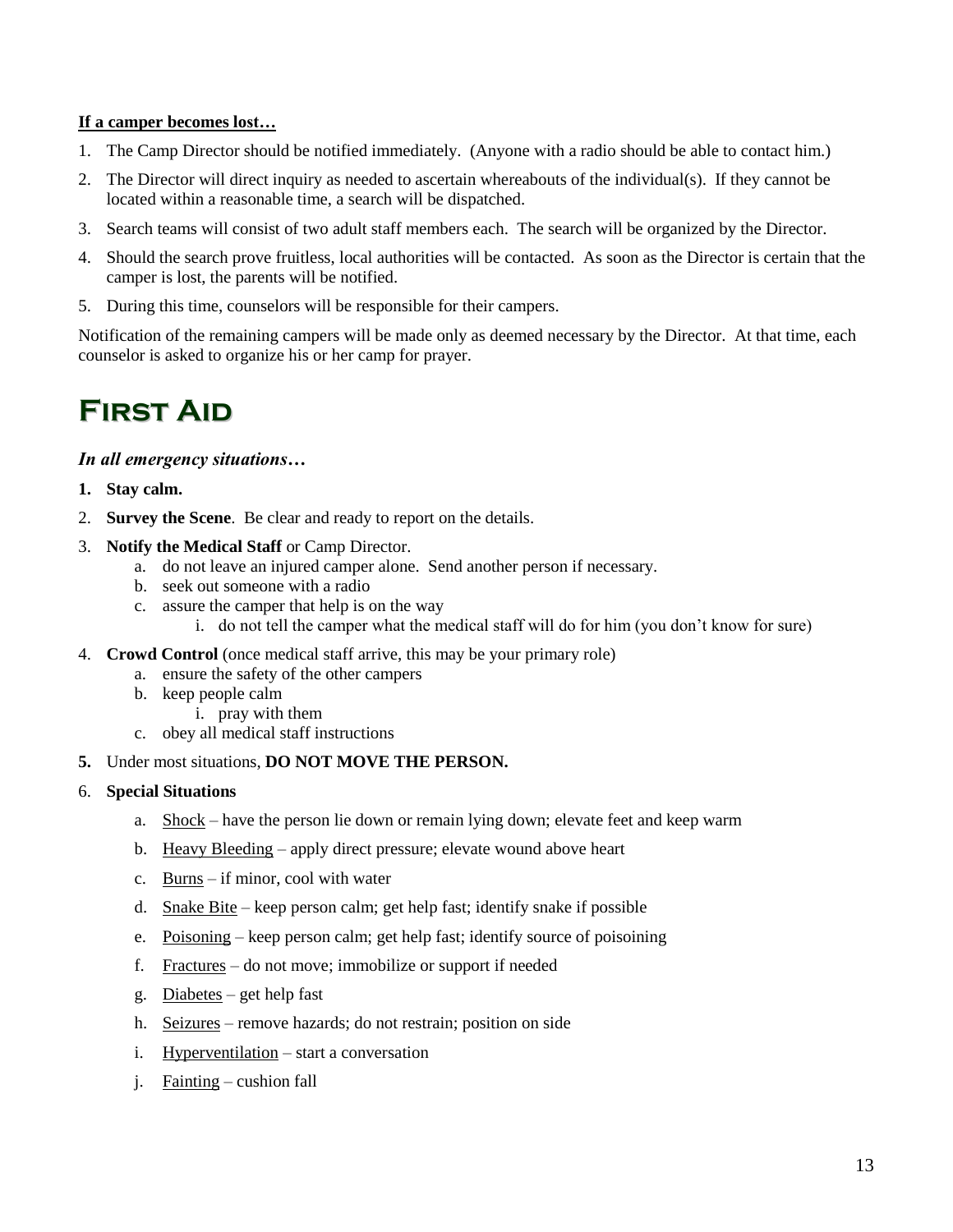#### **If a camper becomes lost…**

- 1. The Camp Director should be notified immediately. (Anyone with a radio should be able to contact him.)
- 2. The Director will direct inquiry as needed to ascertain whereabouts of the individual(s). If they cannot be located within a reasonable time, a search will be dispatched.
- 3. Search teams will consist of two adult staff members each. The search will be organized by the Director.
- 4. Should the search prove fruitless, local authorities will be contacted. As soon as the Director is certain that the camper is lost, the parents will be notified.
- 5. During this time, counselors will be responsible for their campers.

Notification of the remaining campers will be made only as deemed necessary by the Director. At that time, each counselor is asked to organize his or her camp for prayer.

## **First Aid**

### *In all emergency situations…*

- **1. Stay calm.**
- 2. **Survey the Scene**. Be clear and ready to report on the details.
- 3. **Notify the Medical Staff** or Camp Director.
	- a. do not leave an injured camper alone. Send another person if necessary.
	- b. seek out someone with a radio
	- c. assure the camper that help is on the way
		- i. do not tell the camper what the medical staff will do for him (you don't know for sure)
- 4. **Crowd Control** (once medical staff arrive, this may be your primary role)
	- a. ensure the safety of the other campers
	- b. keep people calm
		- i. pray with them
	- c. obey all medical staff instructions
- **5.** Under most situations, **DO NOT MOVE THE PERSON.**
- 6. **Special Situations**
	- a. Shock have the person lie down or remain lying down; elevate feet and keep warm
	- b. Heavy Bleeding apply direct pressure; elevate wound above heart
	- c. Burns if minor, cool with water
	- d. Snake Bite keep person calm; get help fast; identify snake if possible
	- e. Poisoning keep person calm; get help fast; identify source of poisoining
	- f. Fractures do not move; immobilize or support if needed
	- g. Diabetes get help fast
	- h. Seizures remove hazards; do not restrain; position on side
	- i. Hyperventilation start a conversation
	- j. Fainting cushion fall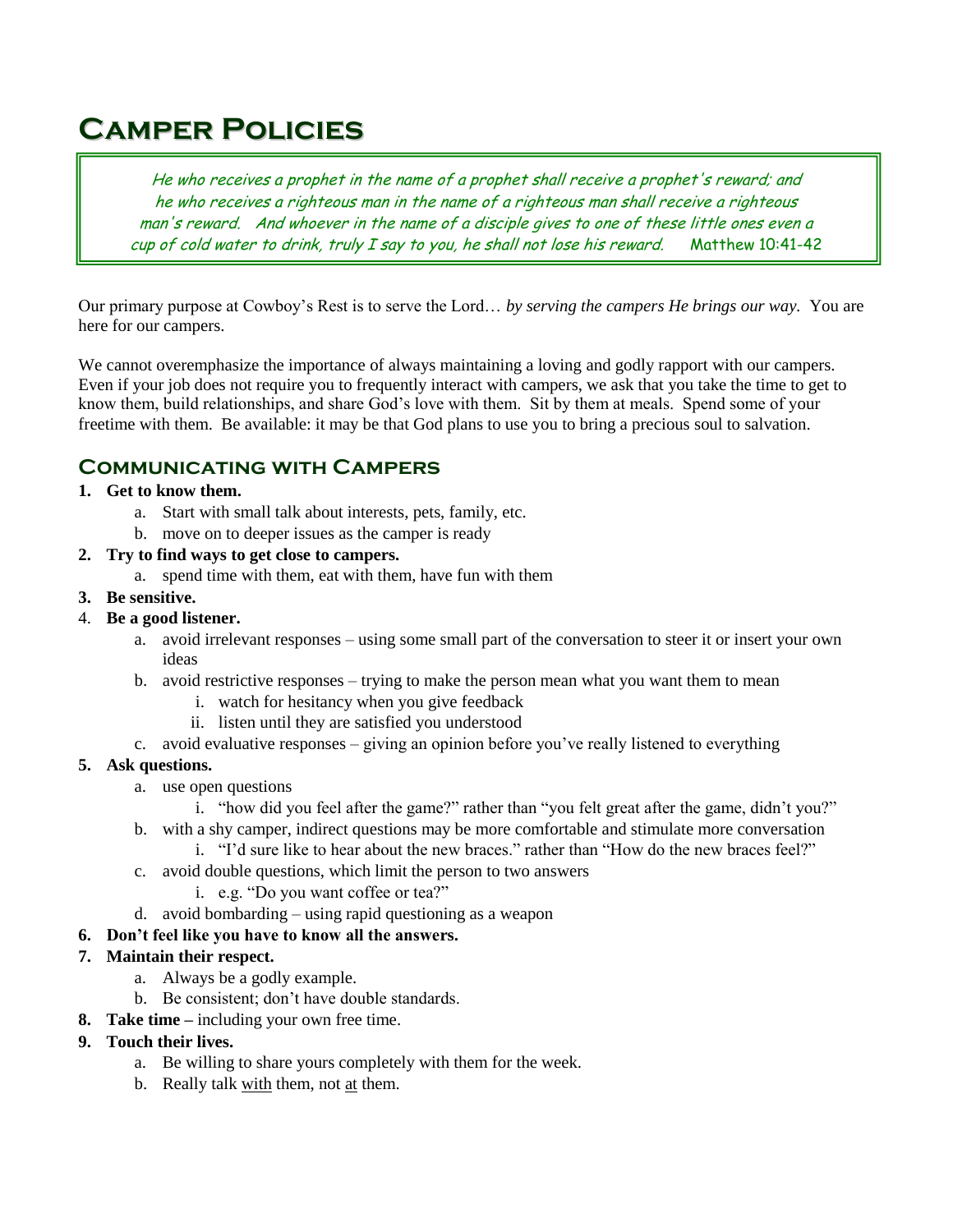## **Camper Policies**

He who receives a prophet in the name of a prophet shall receive a prophet's reward; and he who receives a righteous man in the name of a righteous man shall receive a righteous man's reward. And whoever in the name of a disciple gives to one of these little ones even a cup of cold water to drink, truly  $I$  say to you, he shall not lose his reward. Matthew 10:41-42

Our primary purpose at Cowboy's Rest is to serve the Lord… *by serving the campers He brings our way.* You are here for our campers.

We cannot overemphasize the importance of always maintaining a loving and godly rapport with our campers. Even if your job does not require you to frequently interact with campers, we ask that you take the time to get to know them, build relationships, and share God's love with them. Sit by them at meals. Spend some of your freetime with them. Be available: it may be that God plans to use you to bring a precious soul to salvation.

## **Communicating with Campers**

## **1. Get to know them.**

- a. Start with small talk about interests, pets, family, etc.
- b. move on to deeper issues as the camper is ready

### **2. Try to find ways to get close to campers.**

a. spend time with them, eat with them, have fun with them

### **3. Be sensitive.**

### 4. **Be a good listener.**

- a. avoid irrelevant responses using some small part of the conversation to steer it or insert your own ideas
- b. avoid restrictive responses trying to make the person mean what you want them to mean
	- i. watch for hesitancy when you give feedback
	- ii. listen until they are satisfied you understood
- c. avoid evaluative responses giving an opinion before you've really listened to everything

### **5. Ask questions.**

- a. use open questions
	- i. "how did you feel after the game?" rather than "you felt great after the game, didn't you?"
- b. with a shy camper, indirect questions may be more comfortable and stimulate more conversation
	- i. "I'd sure like to hear about the new braces." rather than "How do the new braces feel?"
- c. avoid double questions, which limit the person to two answers
	- i. e.g. "Do you want coffee or tea?"
- d. avoid bombarding using rapid questioning as a weapon

### **6. Don't feel like you have to know all the answers.**

### **7. Maintain their respect.**

- a. Always be a godly example.
- b. Be consistent; don't have double standards.
- **8. Take time –** including your own free time.
- **9. Touch their lives.**
	- a. Be willing to share yours completely with them for the week.
	- b. Really talk with them, not at them.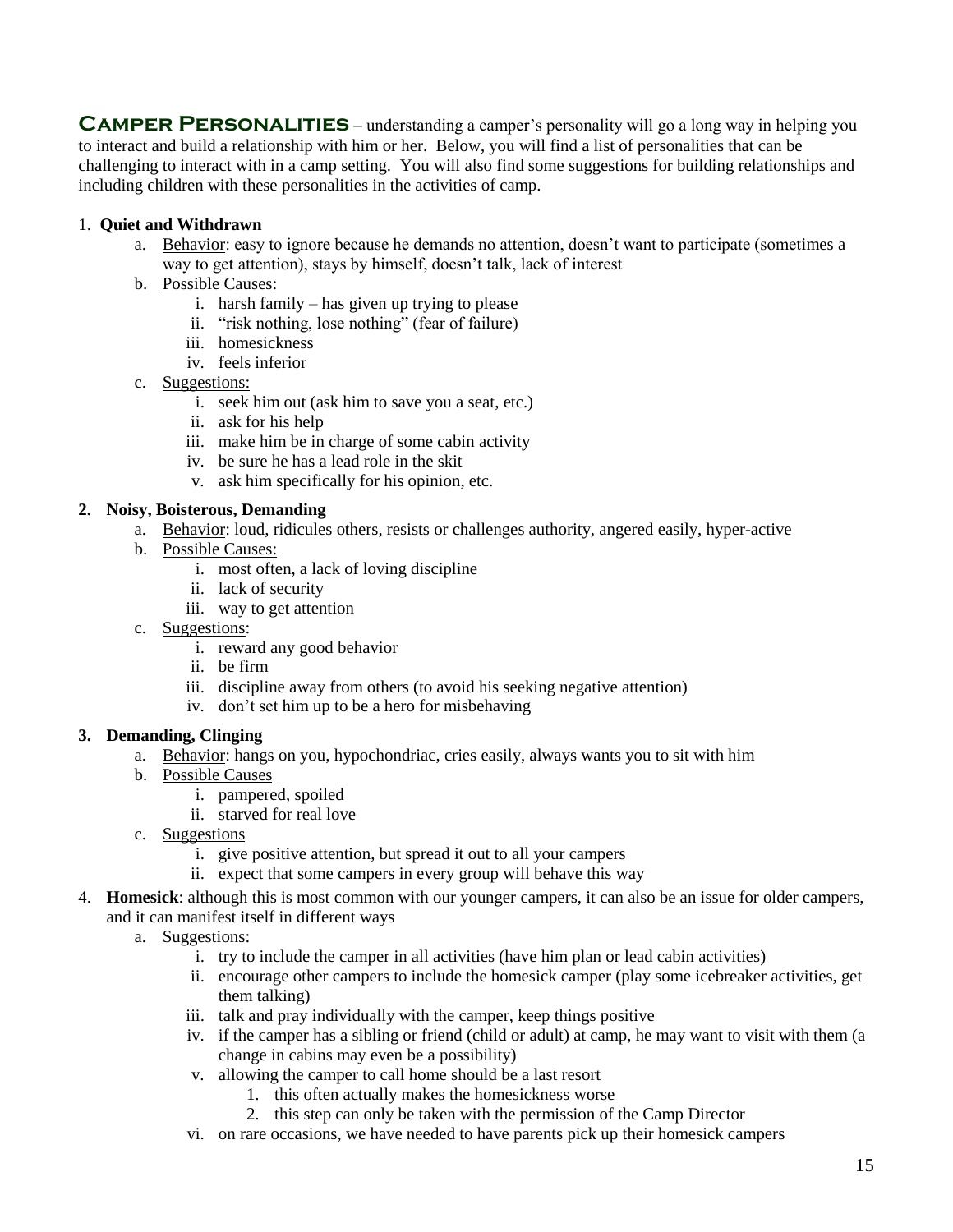**CAMPER PERSONALITIES** – understanding a camper's personality will go a long way in helping you to interact and build a relationship with him or her. Below, you will find a list of personalities that can be challenging to interact with in a camp setting. You will also find some suggestions for building relationships and including children with these personalities in the activities of camp.

### 1. **Quiet and Withdrawn**

- a. Behavior: easy to ignore because he demands no attention, doesn't want to participate (sometimes a way to get attention), stays by himself, doesn't talk, lack of interest
- b. Possible Causes:
	- i. harsh family has given up trying to please
	- ii. "risk nothing, lose nothing" (fear of failure)
	- iii. homesickness
	- iv. feels inferior
- c. Suggestions:
	- i. seek him out (ask him to save you a seat, etc.)
	- ii. ask for his help
	- iii. make him be in charge of some cabin activity
	- iv. be sure he has a lead role in the skit
	- v. ask him specifically for his opinion, etc.

#### **2. Noisy, Boisterous, Demanding**

- a. Behavior: loud, ridicules others, resists or challenges authority, angered easily, hyper-active
- b. Possible Causes:
	- i. most often, a lack of loving discipline
	- ii. lack of security
	- iii. way to get attention
- c. Suggestions:
	- i. reward any good behavior
	- ii. be firm
	- iii. discipline away from others (to avoid his seeking negative attention)
	- iv. don't set him up to be a hero for misbehaving

#### **3. Demanding, Clinging**

- a. Behavior: hangs on you, hypochondriac, cries easily, always wants you to sit with him
- b. Possible Causes
	- i. pampered, spoiled
	- ii. starved for real love
- c. Suggestions
	- i. give positive attention, but spread it out to all your campers
	- ii. expect that some campers in every group will behave this way
- 4. **Homesick**: although this is most common with our younger campers, it can also be an issue for older campers, and it can manifest itself in different ways
	- a. Suggestions:
		- i. try to include the camper in all activities (have him plan or lead cabin activities)
		- ii. encourage other campers to include the homesick camper (play some icebreaker activities, get them talking)
		- iii. talk and pray individually with the camper, keep things positive
		- iv. if the camper has a sibling or friend (child or adult) at camp, he may want to visit with them (a change in cabins may even be a possibility)
		- v. allowing the camper to call home should be a last resort
			- 1. this often actually makes the homesickness worse
			- 2. this step can only be taken with the permission of the Camp Director
		- vi. on rare occasions, we have needed to have parents pick up their homesick campers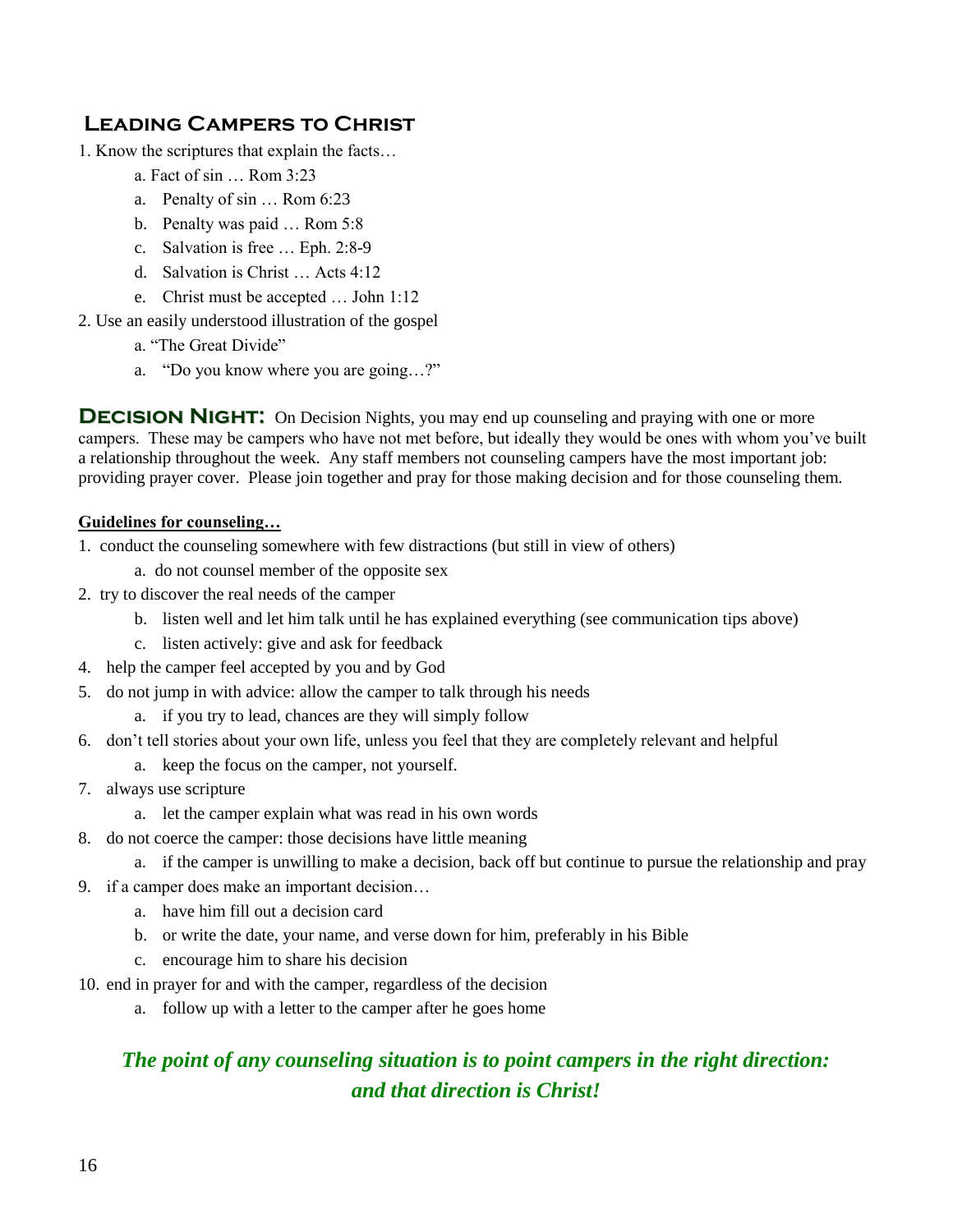## **Leading Campers to Christ**

- 1. Know the scriptures that explain the facts…
	- a. Fact of sin … Rom 3:23
	- a. Penalty of sin … Rom 6:23
	- b. Penalty was paid … Rom 5:8
	- c. Salvation is free … Eph. 2:8-9
	- d. Salvation is Christ … Acts 4:12
	- e. Christ must be accepted … John 1:12
- 2. Use an easily understood illustration of the gospel
	- a. "The Great Divide"
	- a. "Do you know where you are going…?"

**DECISION NIGHT:** On Decision Nights, you may end up counseling and praying with one or more campers. These may be campers who have not met before, but ideally they would be ones with whom you've built a relationship throughout the week. Any staff members not counseling campers have the most important job: providing prayer cover. Please join together and pray for those making decision and for those counseling them.

### **Guidelines for counseling…**

- 1. conduct the counseling somewhere with few distractions (but still in view of others)
	- a. do not counsel member of the opposite sex
- 2. try to discover the real needs of the camper
	- b. listen well and let him talk until he has explained everything (see communication tips above)
	- c. listen actively: give and ask for feedback
- 4. help the camper feel accepted by you and by God
- 5. do not jump in with advice: allow the camper to talk through his needs
	- a. if you try to lead, chances are they will simply follow
- 6. don't tell stories about your own life, unless you feel that they are completely relevant and helpful
	- a. keep the focus on the camper, not yourself.
- 7. always use scripture
	- a. let the camper explain what was read in his own words
- 8. do not coerce the camper: those decisions have little meaning
	- a. if the camper is unwilling to make a decision, back off but continue to pursue the relationship and pray
- 9. if a camper does make an important decision…
	- a. have him fill out a decision card
	- b. or write the date, your name, and verse down for him, preferably in his Bible
	- c. encourage him to share his decision
- 10. end in prayer for and with the camper, regardless of the decision
	- a. follow up with a letter to the camper after he goes home

## *The point of any counseling situation is to point campers in the right direction: and that direction is Christ!*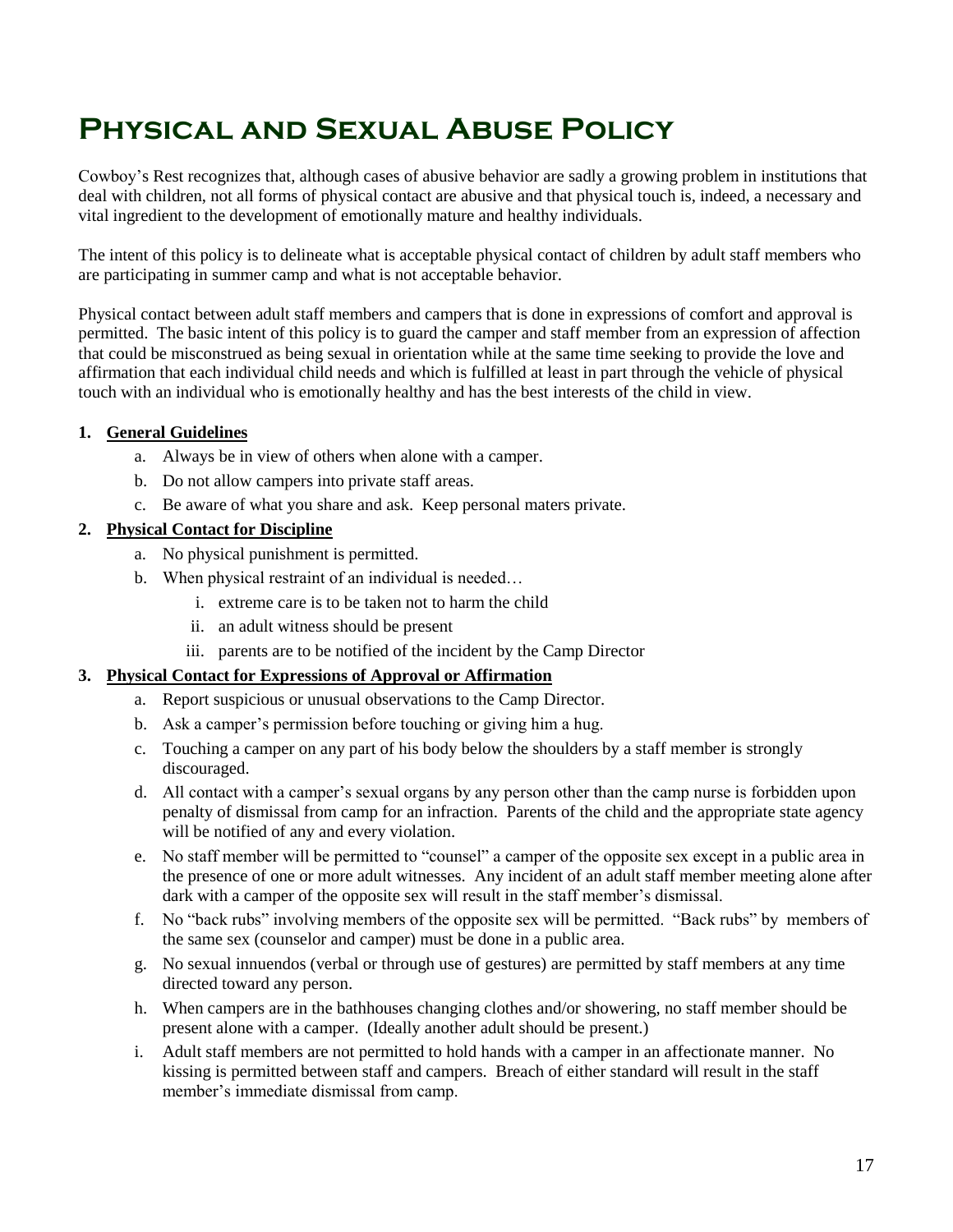## **Physical and Sexual Abuse Policy**

Cowboy's Rest recognizes that, although cases of abusive behavior are sadly a growing problem in institutions that deal with children, not all forms of physical contact are abusive and that physical touch is, indeed, a necessary and vital ingredient to the development of emotionally mature and healthy individuals.

The intent of this policy is to delineate what is acceptable physical contact of children by adult staff members who are participating in summer camp and what is not acceptable behavior.

Physical contact between adult staff members and campers that is done in expressions of comfort and approval is permitted. The basic intent of this policy is to guard the camper and staff member from an expression of affection that could be misconstrued as being sexual in orientation while at the same time seeking to provide the love and affirmation that each individual child needs and which is fulfilled at least in part through the vehicle of physical touch with an individual who is emotionally healthy and has the best interests of the child in view.

## **1. General Guidelines**

- a. Always be in view of others when alone with a camper.
- b. Do not allow campers into private staff areas.
- c. Be aware of what you share and ask. Keep personal maters private.

### **2. Physical Contact for Discipline**

- a. No physical punishment is permitted.
- b. When physical restraint of an individual is needed…
	- i. extreme care is to be taken not to harm the child
	- ii. an adult witness should be present
	- iii. parents are to be notified of the incident by the Camp Director

### **3. Physical Contact for Expressions of Approval or Affirmation**

- a. Report suspicious or unusual observations to the Camp Director.
- b. Ask a camper's permission before touching or giving him a hug.
- c. Touching a camper on any part of his body below the shoulders by a staff member is strongly discouraged.
- d. All contact with a camper's sexual organs by any person other than the camp nurse is forbidden upon penalty of dismissal from camp for an infraction. Parents of the child and the appropriate state agency will be notified of any and every violation.
- e. No staff member will be permitted to "counsel" a camper of the opposite sex except in a public area in the presence of one or more adult witnesses. Any incident of an adult staff member meeting alone after dark with a camper of the opposite sex will result in the staff member's dismissal.
- f. No "back rubs" involving members of the opposite sex will be permitted. "Back rubs" by members of the same sex (counselor and camper) must be done in a public area.
- g. No sexual innuendos (verbal or through use of gestures) are permitted by staff members at any time directed toward any person.
- h. When campers are in the bathhouses changing clothes and/or showering, no staff member should be present alone with a camper. (Ideally another adult should be present.)
- i. Adult staff members are not permitted to hold hands with a camper in an affectionate manner. No kissing is permitted between staff and campers. Breach of either standard will result in the staff member's immediate dismissal from camp.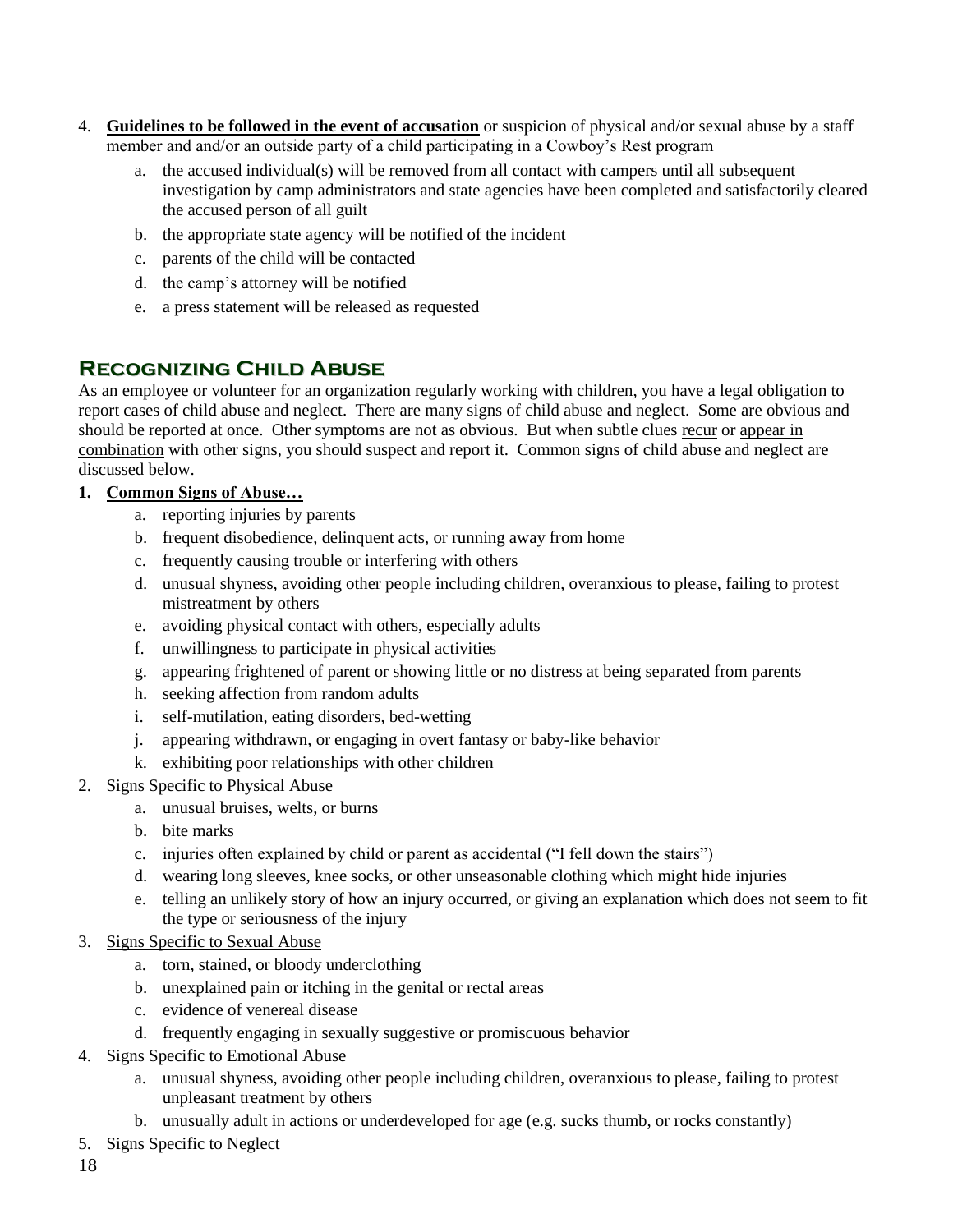- 4. **Guidelines to be followed in the event of accusation** or suspicion of physical and/or sexual abuse by a staff member and and/or an outside party of a child participating in a Cowboy's Rest program
	- a. the accused individual(s) will be removed from all contact with campers until all subsequent investigation by camp administrators and state agencies have been completed and satisfactorily cleared the accused person of all guilt
	- b. the appropriate state agency will be notified of the incident
	- c. parents of the child will be contacted
	- d. the camp's attorney will be notified
	- e. a press statement will be released as requested

## **Recognizing Child Abuse**

As an employee or volunteer for an organization regularly working with children, you have a legal obligation to report cases of child abuse and neglect. There are many signs of child abuse and neglect. Some are obvious and should be reported at once. Other symptoms are not as obvious. But when subtle clues recur or appear in combination with other signs, you should suspect and report it. Common signs of child abuse and neglect are discussed below.

## **1. Common Signs of Abuse…**

- a. reporting injuries by parents
- b. frequent disobedience, delinquent acts, or running away from home
- c. frequently causing trouble or interfering with others
- d. unusual shyness, avoiding other people including children, overanxious to please, failing to protest mistreatment by others
- e. avoiding physical contact with others, especially adults
- f. unwillingness to participate in physical activities
- g. appearing frightened of parent or showing little or no distress at being separated from parents
- h. seeking affection from random adults
- i. self-mutilation, eating disorders, bed-wetting
- j. appearing withdrawn, or engaging in overt fantasy or baby-like behavior
- k. exhibiting poor relationships with other children
- 2. Signs Specific to Physical Abuse
	- a. unusual bruises, welts, or burns
	- b. bite marks
	- c. injuries often explained by child or parent as accidental ("I fell down the stairs")
	- d. wearing long sleeves, knee socks, or other unseasonable clothing which might hide injuries
	- e. telling an unlikely story of how an injury occurred, or giving an explanation which does not seem to fit the type or seriousness of the injury
- 3. Signs Specific to Sexual Abuse
	- a. torn, stained, or bloody underclothing
	- b. unexplained pain or itching in the genital or rectal areas
	- c. evidence of venereal disease
	- d. frequently engaging in sexually suggestive or promiscuous behavior
- 4. Signs Specific to Emotional Abuse
	- a. unusual shyness, avoiding other people including children, overanxious to please, failing to protest unpleasant treatment by others
	- b. unusually adult in actions or underdeveloped for age (e.g. sucks thumb, or rocks constantly)
- 5. Signs Specific to Neglect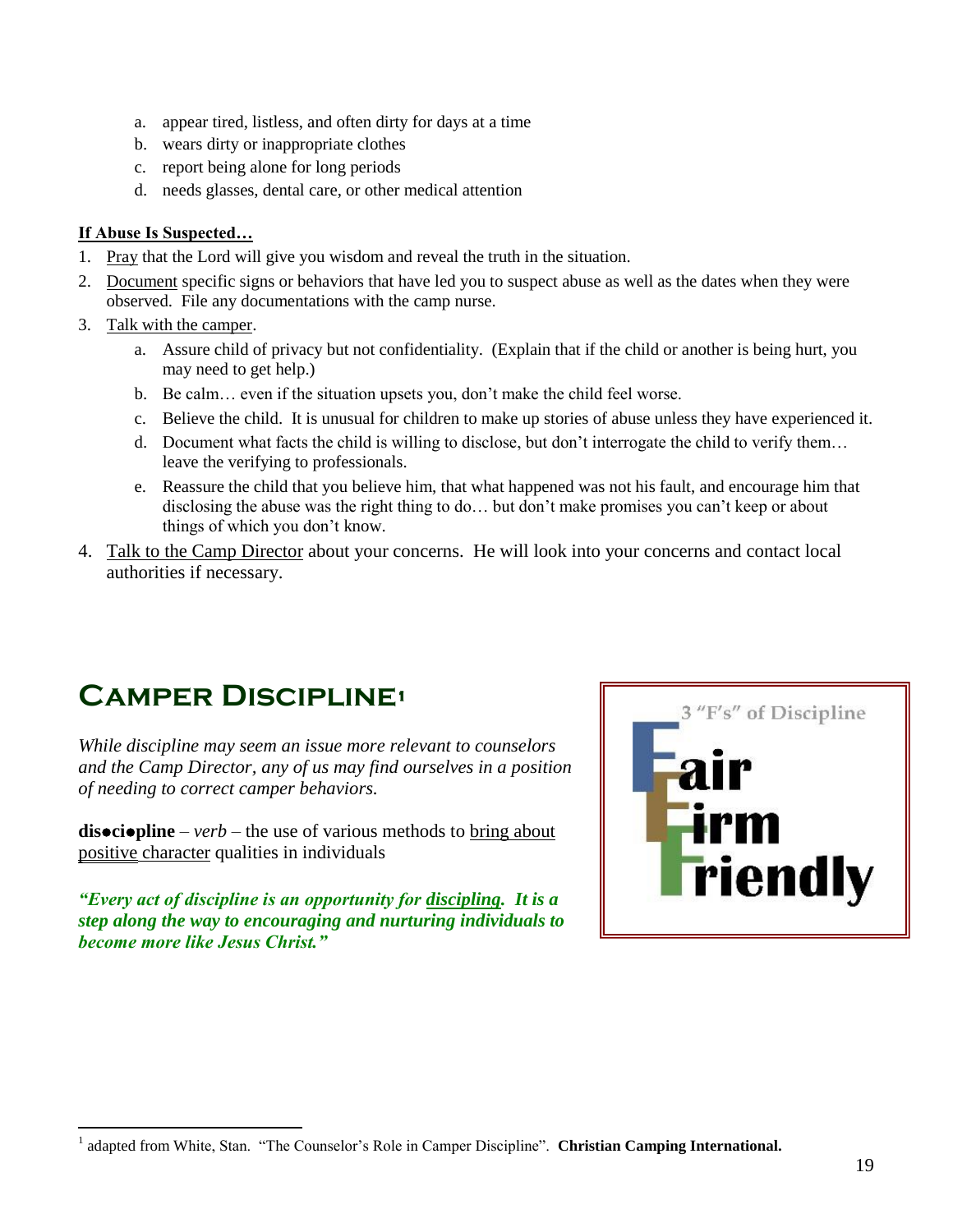- a. appear tired, listless, and often dirty for days at a time
- b. wears dirty or inappropriate clothes
- c. report being alone for long periods
- d. needs glasses, dental care, or other medical attention

### **If Abuse Is Suspected…**

- 1. Pray that the Lord will give you wisdom and reveal the truth in the situation.
- 2. Document specific signs or behaviors that have led you to suspect abuse as well as the dates when they were observed. File any documentations with the camp nurse.
- 3. Talk with the camper.

 $\overline{a}$ 

- a. Assure child of privacy but not confidentiality. (Explain that if the child or another is being hurt, you may need to get help.)
- b. Be calm… even if the situation upsets you, don't make the child feel worse.
- c. Believe the child. It is unusual for children to make up stories of abuse unless they have experienced it.
- d. Document what facts the child is willing to disclose, but don't interrogate the child to verify them… leave the verifying to professionals.
- e. Reassure the child that you believe him, that what happened was not his fault, and encourage him that disclosing the abuse was the right thing to do… but don't make promises you can't keep or about things of which you don't know.
- 4. Talk to the Camp Director about your concerns. He will look into your concerns and contact local authorities if necessary.

## **Camper Discipline<sup>1</sup>**

*While discipline may seem an issue more relevant to counselors and the Camp Director, any of us may find ourselves in a position of needing to correct camper behaviors.* 

**disociopline** – *verb* – the use of various methods to bring about positive character qualities in individuals

*"Every act of discipline is an opportunity for discipling. It is a step along the way to encouraging and nurturing individuals to become more like Jesus Christ."*



<sup>1</sup> adapted from White, Stan. "The Counselor's Role in Camper Discipline". **Christian Camping International.**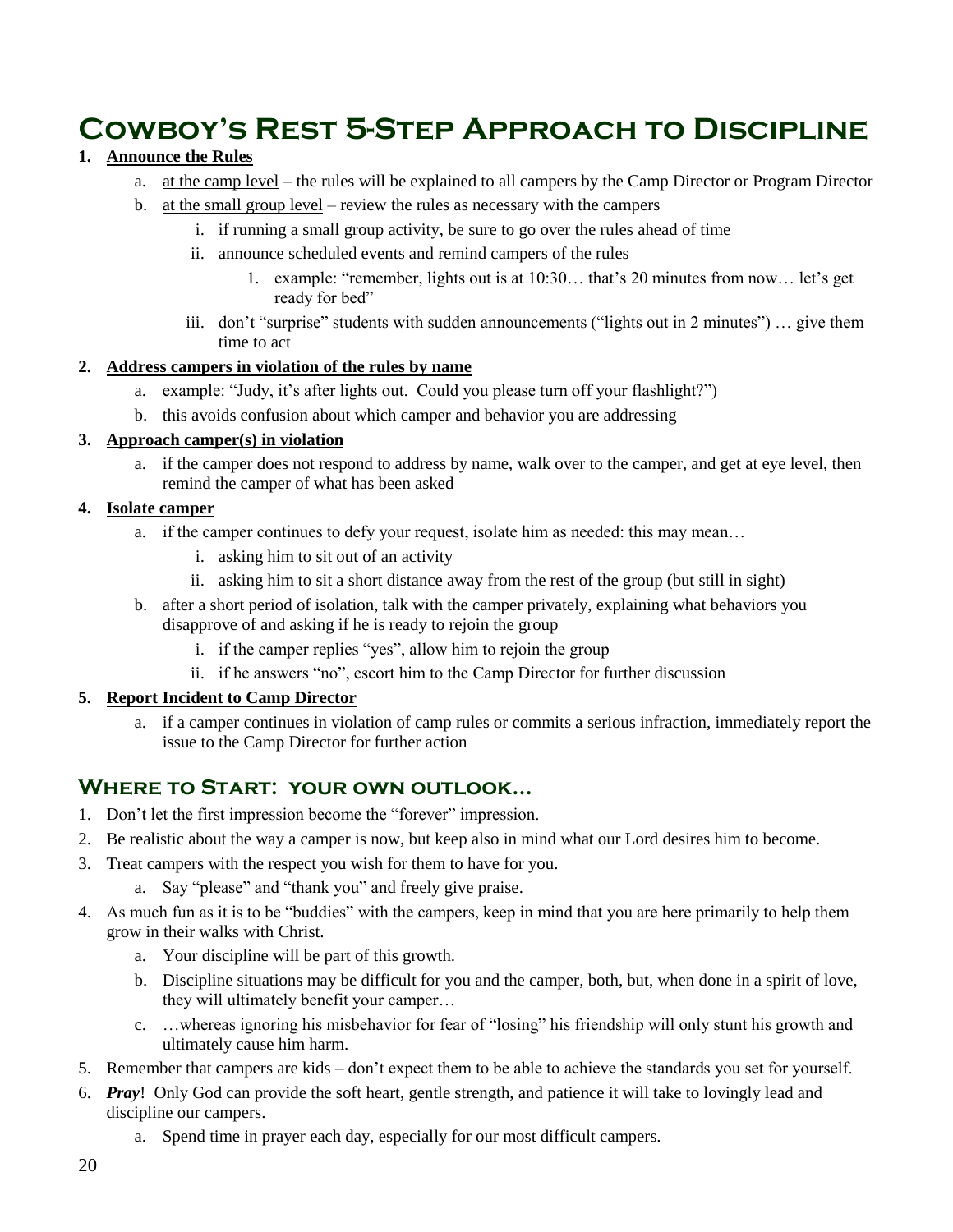## **Cowboy's Rest 5-Step Approach to Discipline**

## **1. Announce the Rules**

- a. at the camp level the rules will be explained to all campers by the Camp Director or Program Director
- b. at the small group level review the rules as necessary with the campers
	- i. if running a small group activity, be sure to go over the rules ahead of time
	- ii. announce scheduled events and remind campers of the rules
		- 1. example: "remember, lights out is at 10:30… that's 20 minutes from now… let's get ready for bed"
	- iii. don't "surprise" students with sudden announcements ("lights out in 2 minutes") … give them time to act

### **2. Address campers in violation of the rules by name**

- a. example: "Judy, it's after lights out. Could you please turn off your flashlight?")
- b. this avoids confusion about which camper and behavior you are addressing

### **3. Approach camper(s) in violation**

a. if the camper does not respond to address by name, walk over to the camper, and get at eye level, then remind the camper of what has been asked

### **4. Isolate camper**

- a. if the camper continues to defy your request, isolate him as needed: this may mean…
	- i. asking him to sit out of an activity
	- ii. asking him to sit a short distance away from the rest of the group (but still in sight)
- b. after a short period of isolation, talk with the camper privately, explaining what behaviors you disapprove of and asking if he is ready to rejoin the group
	- i. if the camper replies "yes", allow him to rejoin the group
	- ii. if he answers "no", escort him to the Camp Director for further discussion

### **5. Report Incident to Camp Director**

a. if a camper continues in violation of camp rules or commits a serious infraction, immediately report the issue to the Camp Director for further action

## **Where to Start: your own outlook…**

- 1. Don't let the first impression become the "forever" impression.
- 2. Be realistic about the way a camper is now, but keep also in mind what our Lord desires him to become.
- 3. Treat campers with the respect you wish for them to have for you.
	- a. Say "please" and "thank you" and freely give praise.
- 4. As much fun as it is to be "buddies" with the campers, keep in mind that you are here primarily to help them grow in their walks with Christ.
	- a. Your discipline will be part of this growth.
	- b. Discipline situations may be difficult for you and the camper, both, but, when done in a spirit of love, they will ultimately benefit your camper…
	- c. …whereas ignoring his misbehavior for fear of "losing" his friendship will only stunt his growth and ultimately cause him harm.
- 5. Remember that campers are kids don't expect them to be able to achieve the standards you set for yourself.
- 6. *Pray*! Only God can provide the soft heart, gentle strength, and patience it will take to lovingly lead and discipline our campers.
	- a. Spend time in prayer each day, especially for our most difficult campers.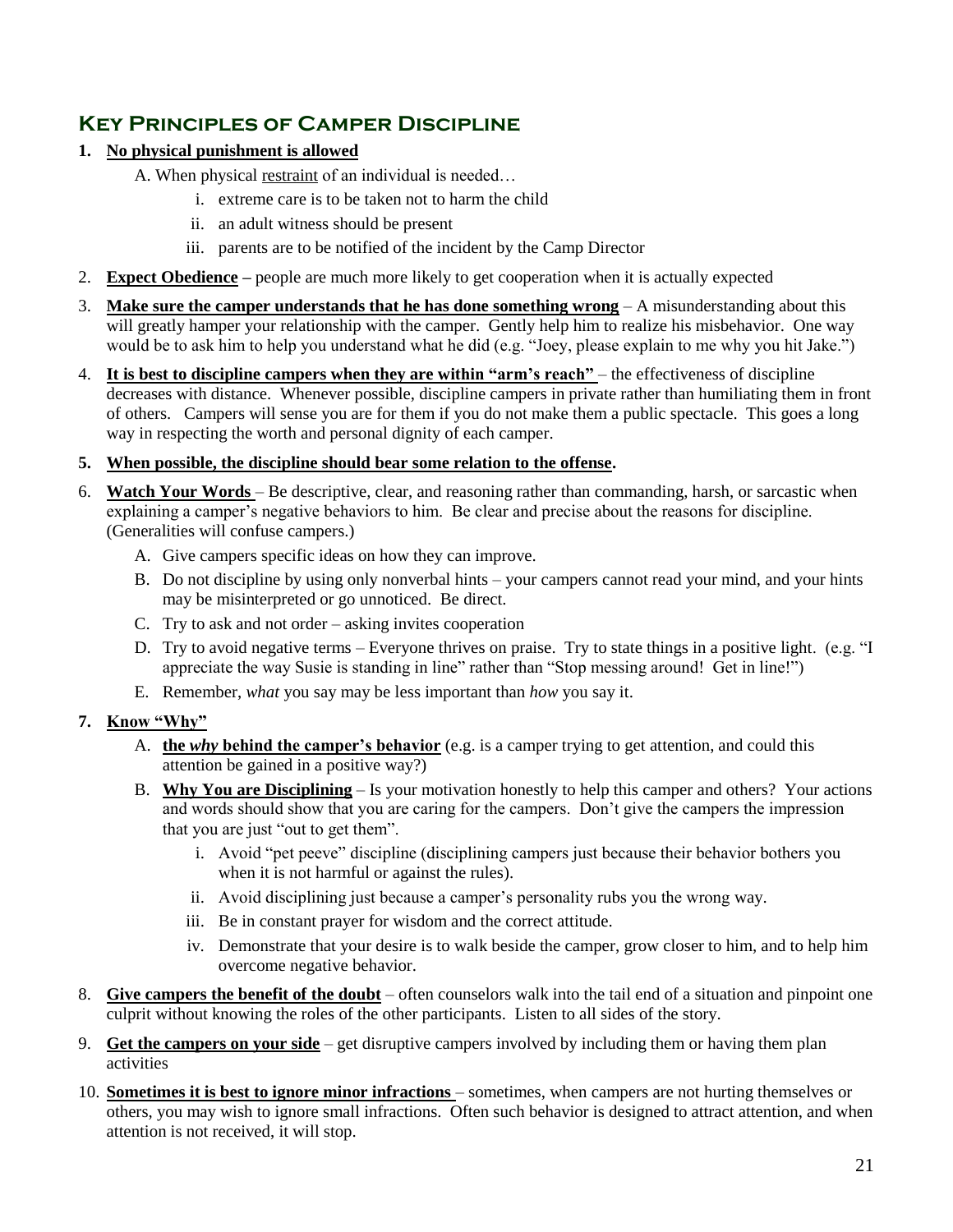## **Key Principles of Camper Discipline**

- **1. No physical punishment is allowed**
	- A. When physical restraint of an individual is needed…
		- i. extreme care is to be taken not to harm the child
		- ii. an adult witness should be present
		- iii. parents are to be notified of the incident by the Camp Director
- 2. **Expect Obedience –** people are much more likely to get cooperation when it is actually expected
- 3. **Make sure the camper understands that he has done something wrong** A misunderstanding about this will greatly hamper your relationship with the camper. Gently help him to realize his misbehavior. One way would be to ask him to help you understand what he did (e.g. "Joey, please explain to me why you hit Jake.")
- 4. **It is best to discipline campers when they are within "arm's reach"** the effectiveness of discipline decreases with distance. Whenever possible, discipline campers in private rather than humiliating them in front of others. Campers will sense you are for them if you do not make them a public spectacle. This goes a long way in respecting the worth and personal dignity of each camper.
- **5. When possible, the discipline should bear some relation to the offense.**
- 6. **Watch Your Words** Be descriptive, clear, and reasoning rather than commanding, harsh, or sarcastic when explaining a camper's negative behaviors to him. Be clear and precise about the reasons for discipline. (Generalities will confuse campers.)
	- A. Give campers specific ideas on how they can improve.
	- B. Do not discipline by using only nonverbal hints your campers cannot read your mind, and your hints may be misinterpreted or go unnoticed. Be direct.
	- C. Try to ask and not order asking invites cooperation
	- D. Try to avoid negative terms Everyone thrives on praise. Try to state things in a positive light. (e.g. "I appreciate the way Susie is standing in line" rather than "Stop messing around! Get in line!")
	- E. Remember, *what* you say may be less important than *how* you say it.

### **7. Know "Why"**

- A. **the** *why* **behind the camper's behavior** (e.g. is a camper trying to get attention, and could this attention be gained in a positive way?)
- B. **Why You are Disciplining** Is your motivation honestly to help this camper and others? Your actions and words should show that you are caring for the campers. Don't give the campers the impression that you are just "out to get them".
	- i. Avoid "pet peeve" discipline (disciplining campers just because their behavior bothers you when it is not harmful or against the rules).
	- ii. Avoid disciplining just because a camper's personality rubs you the wrong way.
	- iii. Be in constant prayer for wisdom and the correct attitude.
	- iv. Demonstrate that your desire is to walk beside the camper, grow closer to him, and to help him overcome negative behavior.
- 8. **Give campers the benefit of the doubt** often counselors walk into the tail end of a situation and pinpoint one culprit without knowing the roles of the other participants. Listen to all sides of the story.
- 9. **Get the campers on your side** get disruptive campers involved by including them or having them plan activities
- 10. **Sometimes it is best to ignore minor infractions** sometimes, when campers are not hurting themselves or others, you may wish to ignore small infractions. Often such behavior is designed to attract attention, and when attention is not received, it will stop.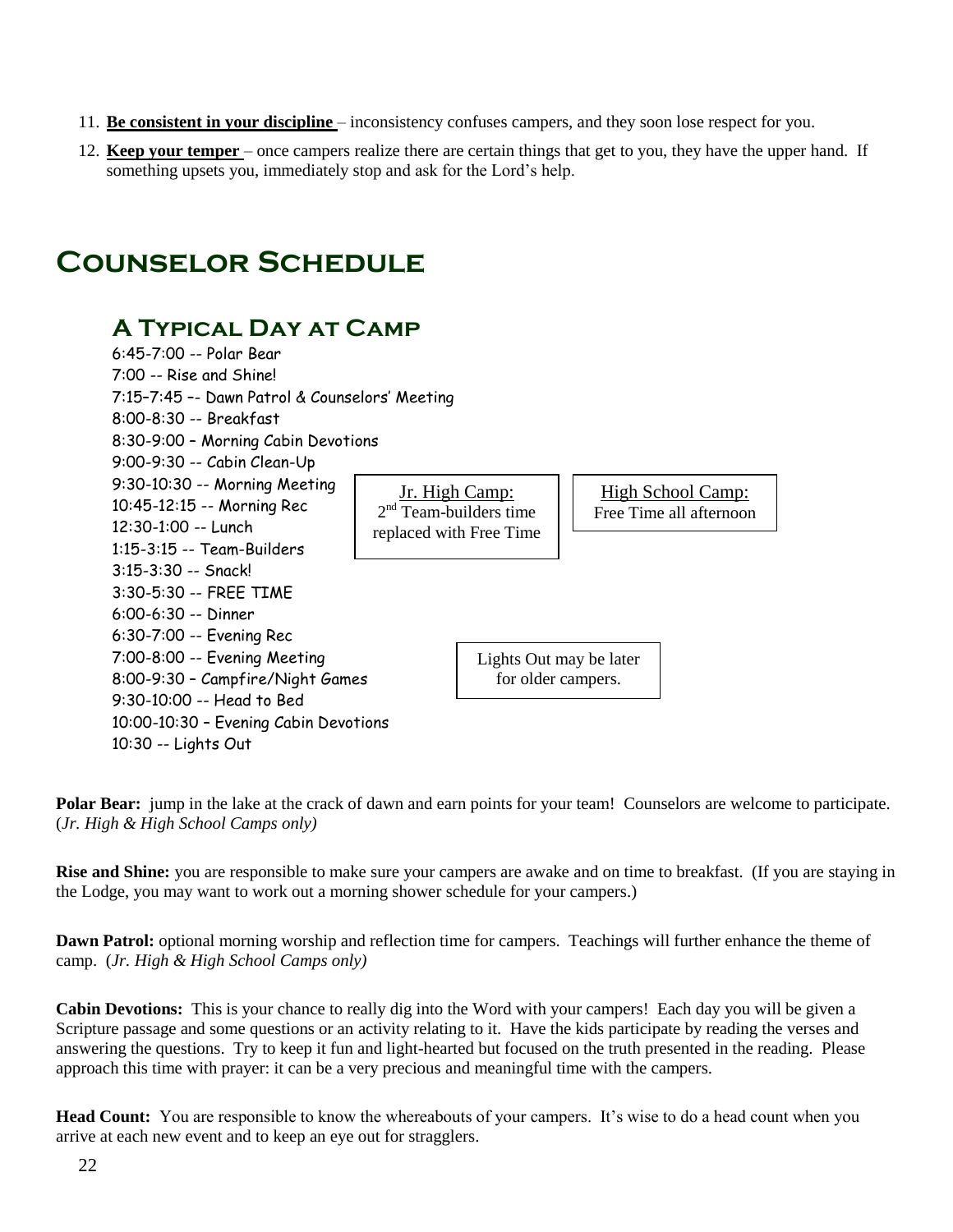- 11. **Be consistent in your discipline** inconsistency confuses campers, and they soon lose respect for you.
- 12. **Keep your temper** once campers realize there are certain things that get to you, they have the upper hand. If something upsets you, immediately stop and ask for the Lord's help.

## **Counselor Schedule**

## **A Typical Day at Camp**

| 6:45-7:00 -- Polar Bear                        |                          |                         |  |                          |  |
|------------------------------------------------|--------------------------|-------------------------|--|--------------------------|--|
| 7:00 -- Rise and Shine!                        |                          |                         |  |                          |  |
| 7:15-7:45 -- Dawn Patrol & Counselors' Meeting |                          |                         |  |                          |  |
| 8:00-8:30 -- Breakfast                         |                          |                         |  |                          |  |
| 8:30-9:00 - Morning Cabin Devotions            |                          |                         |  |                          |  |
| 9:00-9:30 -- Cabin Clean-Up                    |                          |                         |  |                          |  |
| 9:30-10:30 -- Morning Meeting                  | Jr. High Camp:           |                         |  | <u>High School Camp:</u> |  |
| 10:45-12:15 -- Morning Rec                     | $2nd$ Team-builders time |                         |  | Free Time all afternoon  |  |
| 12:30-1:00 -- Lunch                            |                          | replaced with Free Time |  |                          |  |
| $1:15-3:15 -$ Team-Builders                    |                          |                         |  |                          |  |
| $3:15-3:30 -$ Snack!                           |                          |                         |  |                          |  |
| 3:30-5:30 -- FREE TIME                         |                          |                         |  |                          |  |
| $6:00-6:30 -$ Dinner                           |                          |                         |  |                          |  |
| 6:30-7:00 -- Evening Rec                       |                          |                         |  |                          |  |
| 7:00-8:00 -- Evening Meeting                   |                          | Lights Out may be later |  |                          |  |
| 8:00-9:30 - Campfire/Night Games               |                          | for older campers.      |  |                          |  |
| 9:30-10:00 -- Head to Bed                      |                          |                         |  |                          |  |
| 10:00-10:30 - Evening Cabin Devotions          |                          |                         |  |                          |  |
| 10:30 -- Lights Out                            |                          |                         |  |                          |  |

**Polar Bear:** jump in the lake at the crack of dawn and earn points for your team! Counselors are welcome to participate. (*Jr. High & High School Camps only)*

**Rise and Shine:** you are responsible to make sure your campers are awake and on time to breakfast. (If you are staying in the Lodge, you may want to work out a morning shower schedule for your campers.)

**Dawn Patrol:** optional morning worship and reflection time for campers. Teachings will further enhance the theme of camp. (*Jr. High & High School Camps only)*

**Cabin Devotions:** This is your chance to really dig into the Word with your campers! Each day you will be given a Scripture passage and some questions or an activity relating to it. Have the kids participate by reading the verses and answering the questions. Try to keep it fun and light-hearted but focused on the truth presented in the reading. Please approach this time with prayer: it can be a very precious and meaningful time with the campers.

**Head Count:** You are responsible to know the whereabouts of your campers. It's wise to do a head count when you arrive at each new event and to keep an eye out for stragglers.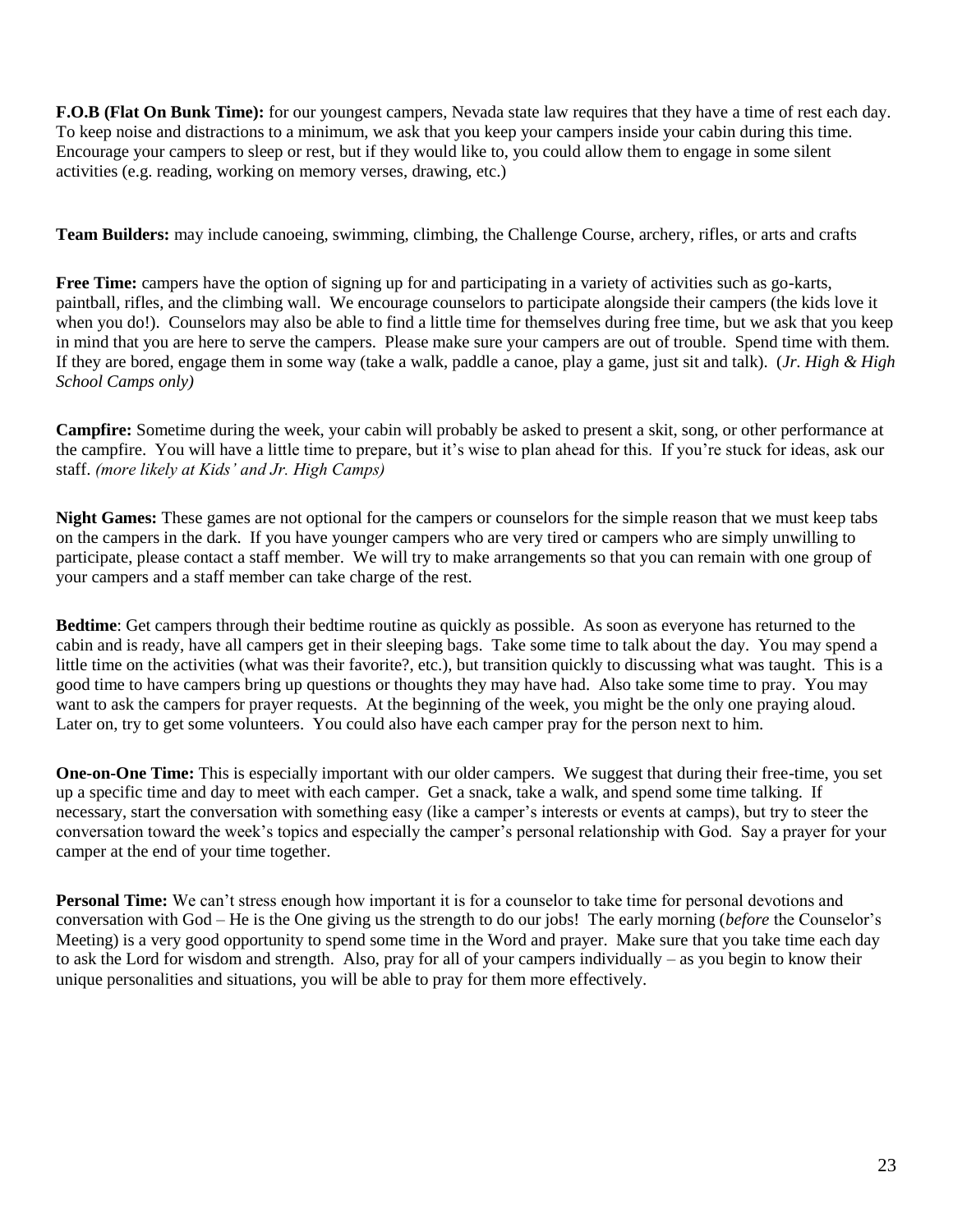**F.O.B (Flat On Bunk Time):** for our youngest campers, Nevada state law requires that they have a time of rest each day. To keep noise and distractions to a minimum, we ask that you keep your campers inside your cabin during this time. Encourage your campers to sleep or rest, but if they would like to, you could allow them to engage in some silent activities (e.g. reading, working on memory verses, drawing, etc.)

**Team Builders:** may include canoeing, swimming, climbing, the Challenge Course, archery, rifles, or arts and crafts

**Free Time:** campers have the option of signing up for and participating in a variety of activities such as go-karts, paintball, rifles, and the climbing wall. We encourage counselors to participate alongside their campers (the kids love it when you do!). Counselors may also be able to find a little time for themselves during free time, but we ask that you keep in mind that you are here to serve the campers. Please make sure your campers are out of trouble. Spend time with them. If they are bored, engage them in some way (take a walk, paddle a canoe, play a game, just sit and talk). (*Jr. High & High School Camps only)*

**Campfire:** Sometime during the week, your cabin will probably be asked to present a skit, song, or other performance at the campfire. You will have a little time to prepare, but it's wise to plan ahead for this. If you're stuck for ideas, ask our staff. *(more likely at Kids' and Jr. High Camps)*

**Night Games:** These games are not optional for the campers or counselors for the simple reason that we must keep tabs on the campers in the dark. If you have younger campers who are very tired or campers who are simply unwilling to participate, please contact a staff member. We will try to make arrangements so that you can remain with one group of your campers and a staff member can take charge of the rest.

**Bedtime**: Get campers through their bedtime routine as quickly as possible. As soon as everyone has returned to the cabin and is ready, have all campers get in their sleeping bags. Take some time to talk about the day. You may spend a little time on the activities (what was their favorite?, etc.), but transition quickly to discussing what was taught. This is a good time to have campers bring up questions or thoughts they may have had. Also take some time to pray. You may want to ask the campers for prayer requests. At the beginning of the week, you might be the only one praying aloud. Later on, try to get some volunteers. You could also have each camper pray for the person next to him.

**One-on-One Time:** This is especially important with our older campers. We suggest that during their free-time, you set up a specific time and day to meet with each camper. Get a snack, take a walk, and spend some time talking. If necessary, start the conversation with something easy (like a camper's interests or events at camps), but try to steer the conversation toward the week's topics and especially the camper's personal relationship with God. Say a prayer for your camper at the end of your time together.

**Personal Time:** We can't stress enough how important it is for a counselor to take time for personal devotions and conversation with God – He is the One giving us the strength to do our jobs! The early morning (*before* the Counselor's Meeting) is a very good opportunity to spend some time in the Word and prayer. Make sure that you take time each day to ask the Lord for wisdom and strength. Also, pray for all of your campers individually – as you begin to know their unique personalities and situations, you will be able to pray for them more effectively.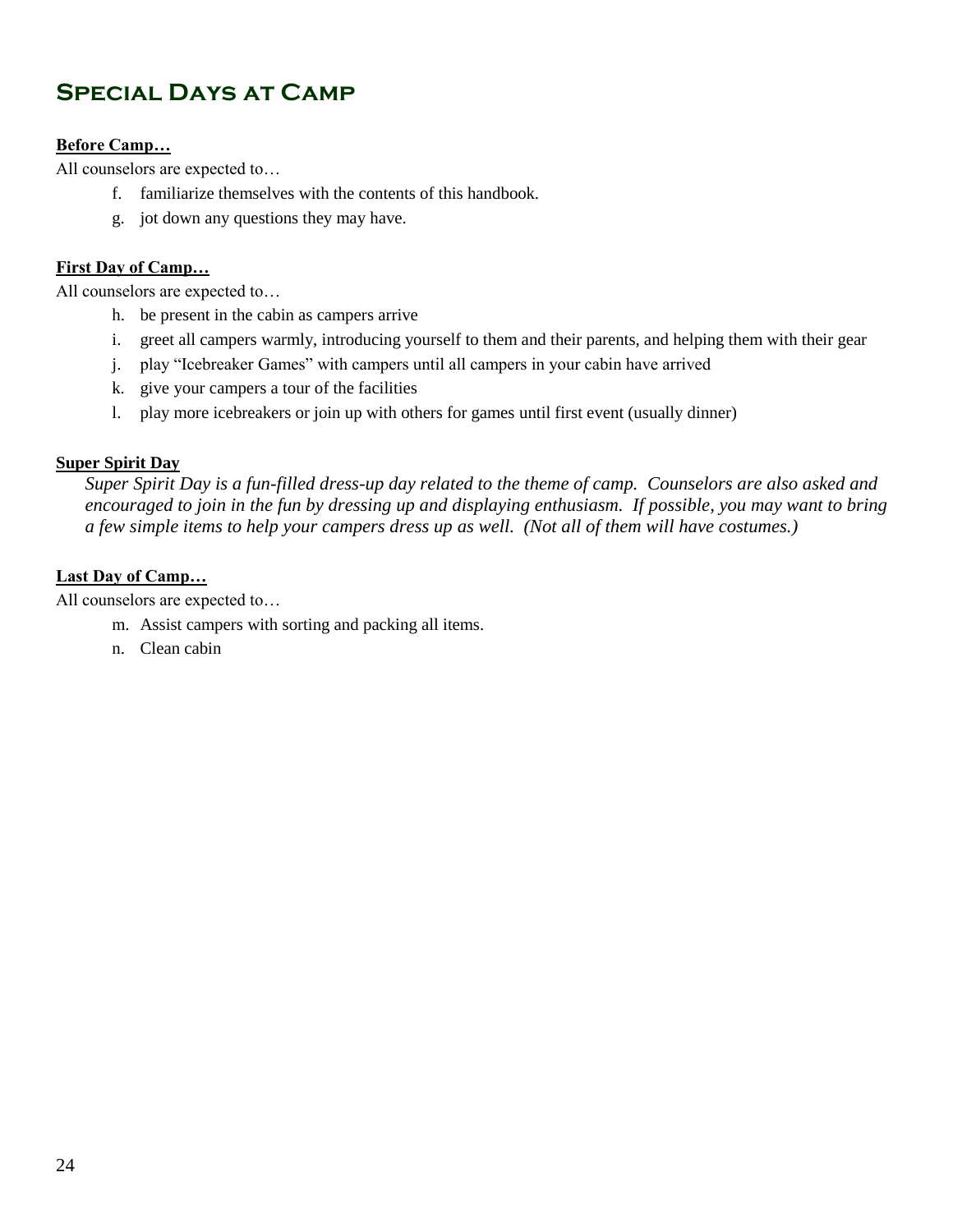## **Special Days at Camp**

## **Before Camp…**

All counselors are expected to…

- f. familiarize themselves with the contents of this handbook.
- g. jot down any questions they may have.

### **First Day of Camp…**

All counselors are expected to…

- h. be present in the cabin as campers arrive
- i. greet all campers warmly, introducing yourself to them and their parents, and helping them with their gear
- j. play "Icebreaker Games" with campers until all campers in your cabin have arrived
- k. give your campers a tour of the facilities
- l. play more icebreakers or join up with others for games until first event (usually dinner)

### **Super Spirit Day**

*Super Spirit Day is a fun-filled dress-up day related to the theme of camp. Counselors are also asked and encouraged to join in the fun by dressing up and displaying enthusiasm. If possible, you may want to bring a few simple items to help your campers dress up as well. (Not all of them will have costumes.)*

### **Last Day of Camp…**

All counselors are expected to…

- m. Assist campers with sorting and packing all items.
- n. Clean cabin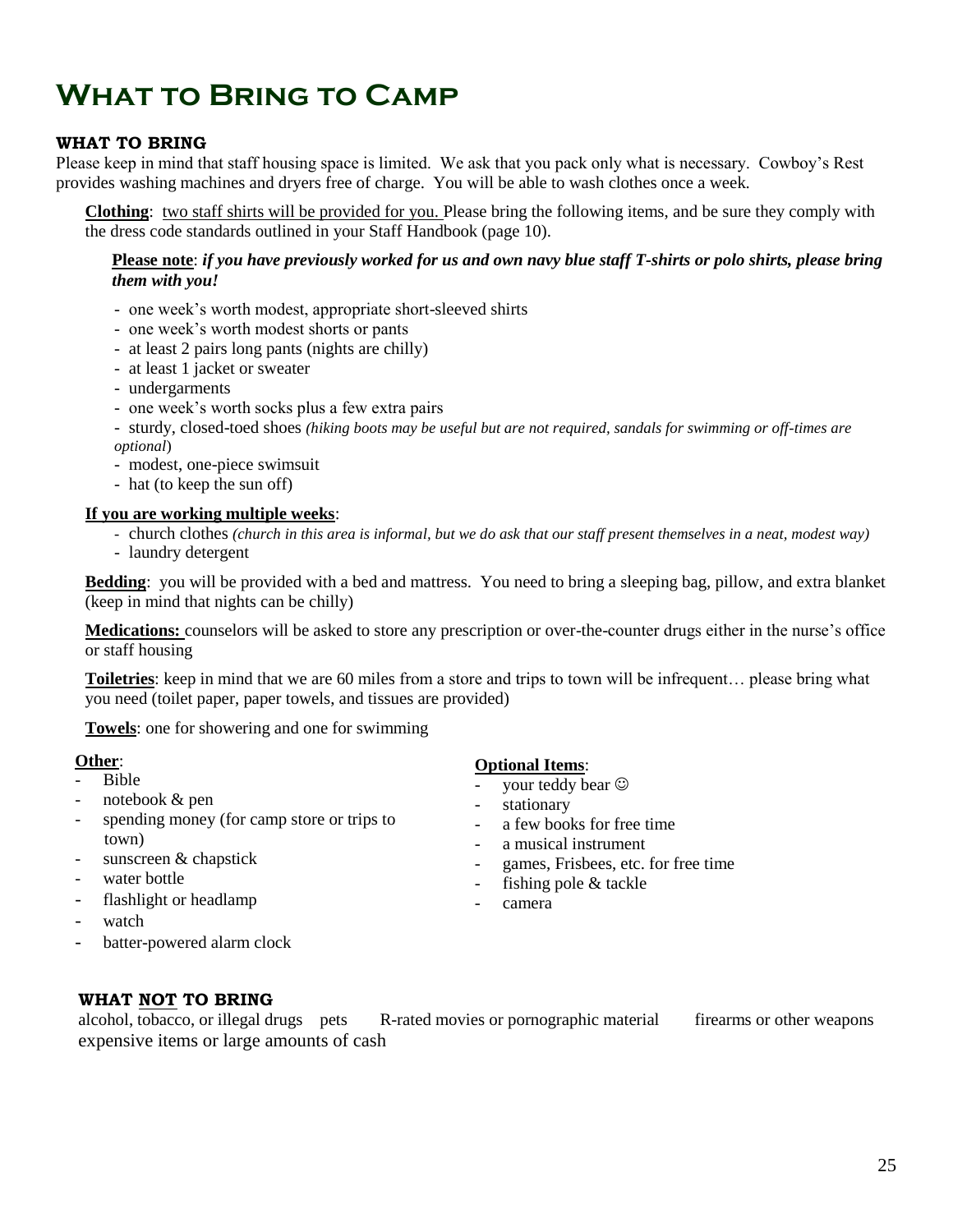## **What to Bring to Camp**

### **WHAT TO BRING**

Please keep in mind that staff housing space is limited. We ask that you pack only what is necessary. Cowboy's Rest provides washing machines and dryers free of charge. You will be able to wash clothes once a week.

**Clothing**: two staff shirts will be provided for you. Please bring the following items, and be sure they comply with the dress code standards outlined in your Staff Handbook (page 10).

#### **Please note**: *if you have previously worked for us and own navy blue staff T-shirts or polo shirts, please bring them with you!*

- one week's worth modest, appropriate short-sleeved shirts
- one week's worth modest shorts or pants
- at least 2 pairs long pants (nights are chilly)
- at least 1 jacket or sweater
- undergarments
- one week's worth socks plus a few extra pairs
- sturdy, closed-toed shoes *(hiking boots may be useful but are not required, sandals for swimming or off-times are optional*)
- modest, one-piece swimsuit
- hat (to keep the sun off)

#### **If you are working multiple weeks**:

- church clothes *(church in this area is informal, but we do ask that our staff present themselves in a neat, modest way)*
- laundry detergent

**Bedding**: you will be provided with a bed and mattress. You need to bring a sleeping bag, pillow, and extra blanket (keep in mind that nights can be chilly)

**Medications:** counselors will be asked to store any prescription or over-the-counter drugs either in the nurse's office or staff housing

**Toiletries**: keep in mind that we are 60 miles from a store and trips to town will be infrequent… please bring what you need (toilet paper, paper towels, and tissues are provided)

**Towels**: one for showering and one for swimming

#### **Other**:

- Bible
- notebook & pen
- spending money (for camp store or trips to town)
- sunscreen & chapstick
- water bottle
- flashlight or headlamp
- watch
- batter-powered alarm clock

#### **Optional Items**:

- your teddy bear  $\odot$
- stationary
- a few books for free time
- a musical instrument
- games, Frisbees, etc. for free time
- fishing pole  $&$  tackle
- camera

#### **WHAT NOT TO BRING**

alcohol, tobacco, or illegal drugs pets R-rated movies or pornographic material firearms or other weapons expensive items or large amounts of cash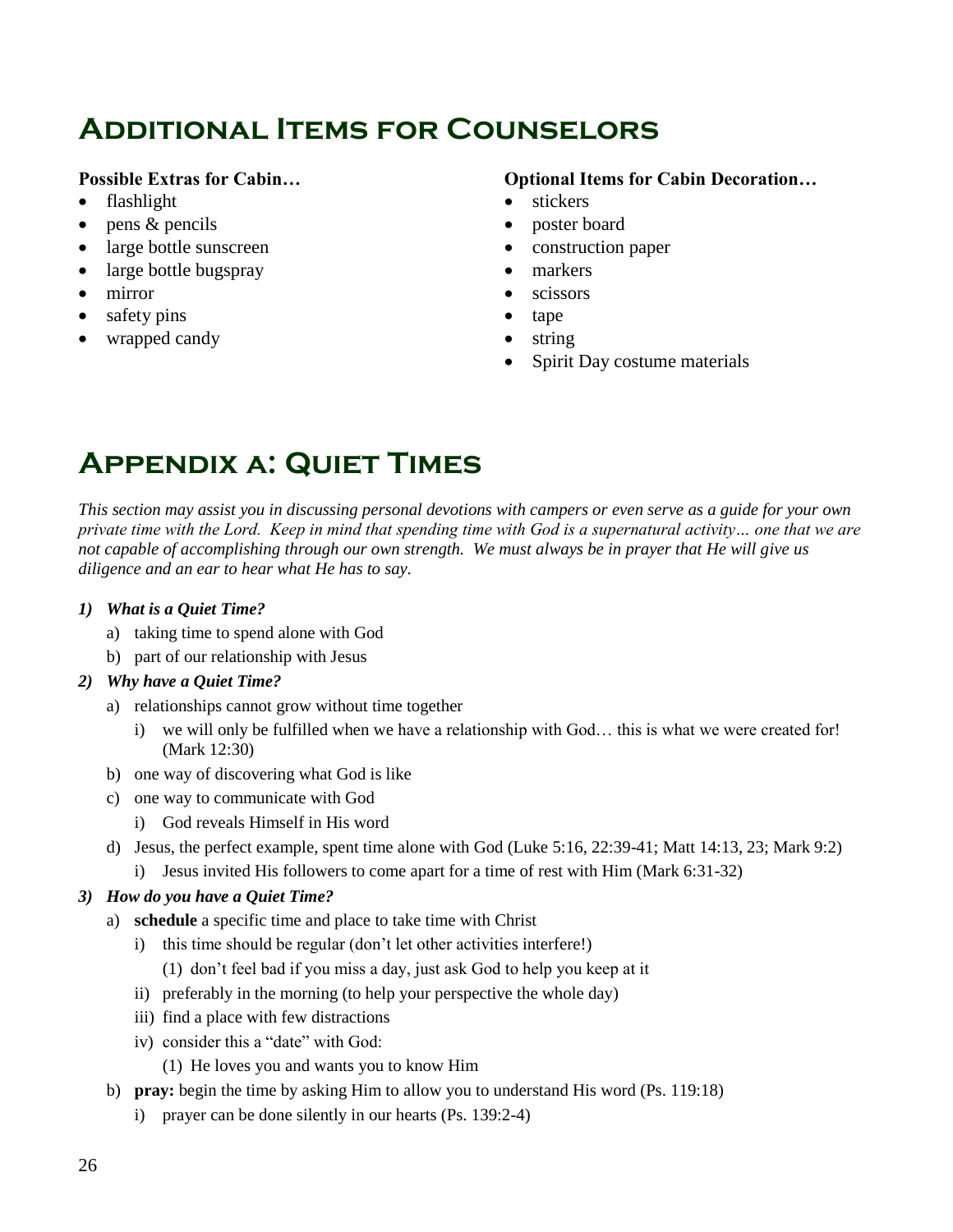## **Additional Items for Counselors**

## **Possible Extras for Cabin…**

- flashlight
- $\bullet$  pens & pencils
- large bottle sunscreen
- large bottle bugspray
- mirror
- safety pins
- wrapped candy

## **Optional Items for Cabin Decoration…**

- stickers
- poster board
- construction paper
- markers
- scissors
- tape
- string
- Spirit Day costume materials

## **Appendix a: Quiet Times**

*This section may assist you in discussing personal devotions with campers or even serve as a guide for your own private time with the Lord. Keep in mind that spending time with God is a supernatural activity… one that we are not capable of accomplishing through our own strength. We must always be in prayer that He will give us diligence and an ear to hear what He has to say.*

### *1) What is a Quiet Time?*

- a) taking time to spend alone with God
- b) part of our relationship with Jesus

### *2) Why have a Quiet Time?*

- a) relationships cannot grow without time together
	- i) we will only be fulfilled when we have a relationship with God… this is what we were created for! (Mark 12:30)
- b) one way of discovering what God is like
- c) one way to communicate with God
	- i) God reveals Himself in His word
- d) Jesus, the perfect example, spent time alone with God (Luke 5:16, 22:39-41; Matt 14:13, 23; Mark 9:2)
	- i) Jesus invited His followers to come apart for a time of rest with Him (Mark 6:31-32)

### *3) How do you have a Quiet Time?*

- a) **schedule** a specific time and place to take time with Christ
	- i) this time should be regular (don't let other activities interfere!)
		- (1) don't feel bad if you miss a day, just ask God to help you keep at it
	- ii) preferably in the morning (to help your perspective the whole day)
	- iii) find a place with few distractions
	- iv) consider this a "date" with God:
		- (1) He loves you and wants you to know Him
- b) **pray:** begin the time by asking Him to allow you to understand His word (Ps. 119:18)
	- i) prayer can be done silently in our hearts (Ps. 139:2-4)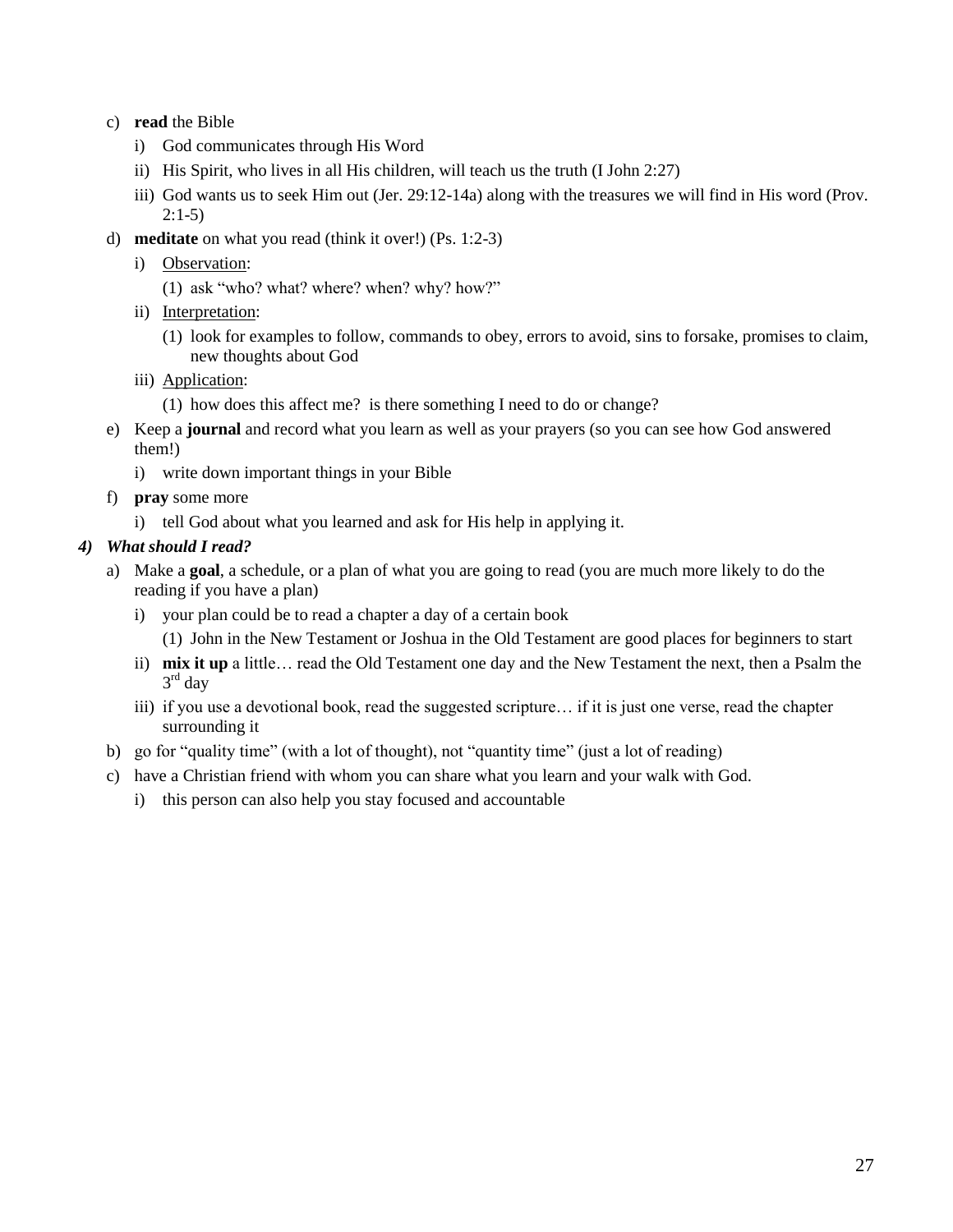- c) **read** the Bible
	- i) God communicates through His Word
	- ii) His Spirit, who lives in all His children, will teach us the truth (I John 2:27)
	- iii) God wants us to seek Him out (Jer. 29:12-14a) along with the treasures we will find in His word (Prov. 2:1-5)
- d) **meditate** on what you read (think it over!) (Ps. 1:2-3)
	- i) Observation:
		- (1) ask "who? what? where? when? why? how?"
	- ii) Interpretation:
		- (1) look for examples to follow, commands to obey, errors to avoid, sins to forsake, promises to claim, new thoughts about God
	- iii) Application:
		- (1) how does this affect me? is there something I need to do or change?
- e) Keep a **journal** and record what you learn as well as your prayers (so you can see how God answered them!)
	- i) write down important things in your Bible
- f) **pray** some more
	- i) tell God about what you learned and ask for His help in applying it.

### *4) What should I read?*

- a) Make a **goal**, a schedule, or a plan of what you are going to read (you are much more likely to do the reading if you have a plan)
	- i) your plan could be to read a chapter a day of a certain book (1) John in the New Testament or Joshua in the Old Testament are good places for beginners to start
	- ii) **mix it up** a little… read the Old Testament one day and the New Testament the next, then a Psalm the 3 rd day
	- iii) if you use a devotional book, read the suggested scripture... if it is just one verse, read the chapter surrounding it
- b) go for "quality time" (with a lot of thought), not "quantity time" (just a lot of reading)
- c) have a Christian friend with whom you can share what you learn and your walk with God.
	- i) this person can also help you stay focused and accountable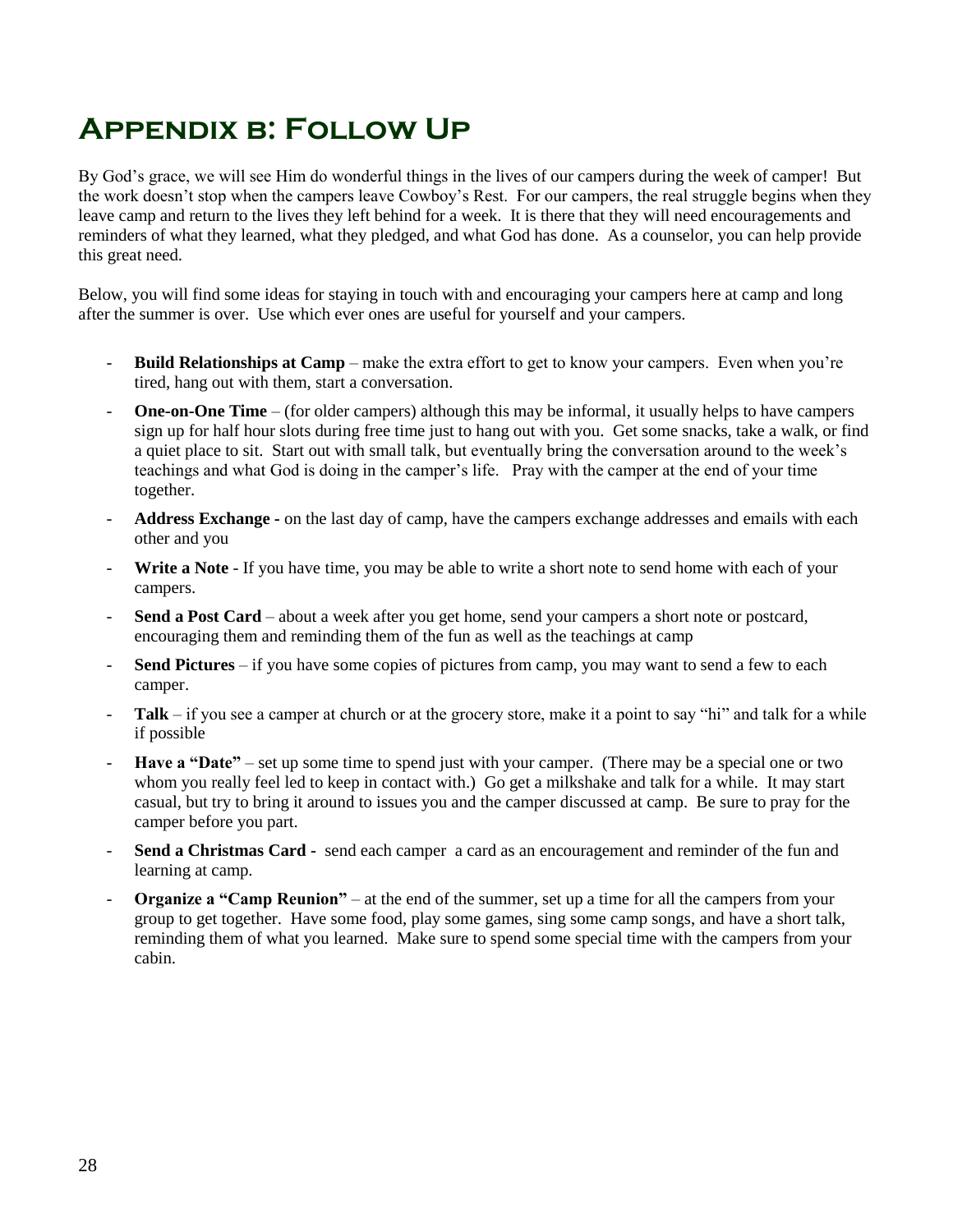## **Appendix b: Follow Up**

By God's grace, we will see Him do wonderful things in the lives of our campers during the week of camper! But the work doesn't stop when the campers leave Cowboy's Rest. For our campers, the real struggle begins when they leave camp and return to the lives they left behind for a week. It is there that they will need encouragements and reminders of what they learned, what they pledged, and what God has done. As a counselor, you can help provide this great need.

Below, you will find some ideas for staying in touch with and encouraging your campers here at camp and long after the summer is over. Use which ever ones are useful for yourself and your campers.

- **Build Relationships at Camp** make the extra effort to get to know your campers. Even when you're tired, hang out with them, start a conversation.
- **One-on-One Time** (for older campers) although this may be informal, it usually helps to have campers sign up for half hour slots during free time just to hang out with you. Get some snacks, take a walk, or find a quiet place to sit. Start out with small talk, but eventually bring the conversation around to the week's teachings and what God is doing in the camper's life. Pray with the camper at the end of your time together.
- **Address Exchange -** on the last day of camp, have the campers exchange addresses and emails with each other and you
- **Write a Note** If you have time, you may be able to write a short note to send home with each of your campers.
- Send a Post Card about a week after you get home, send your campers a short note or postcard, encouraging them and reminding them of the fun as well as the teachings at camp
- **Send Pictures** if you have some copies of pictures from camp, you may want to send a few to each camper.
- **Talk** if you see a camper at church or at the grocery store, make it a point to say "hi" and talk for a while if possible
- Have a "Date" set up some time to spend just with your camper. (There may be a special one or two whom you really feel led to keep in contact with.) Go get a milkshake and talk for a while. It may start casual, but try to bring it around to issues you and the camper discussed at camp. Be sure to pray for the camper before you part.
- **Send a Christmas Card -** send each camper a card as an encouragement and reminder of the fun and learning at camp.
- **Organize a "Camp Reunion"** at the end of the summer, set up a time for all the campers from your group to get together. Have some food, play some games, sing some camp songs, and have a short talk, reminding them of what you learned. Make sure to spend some special time with the campers from your cabin.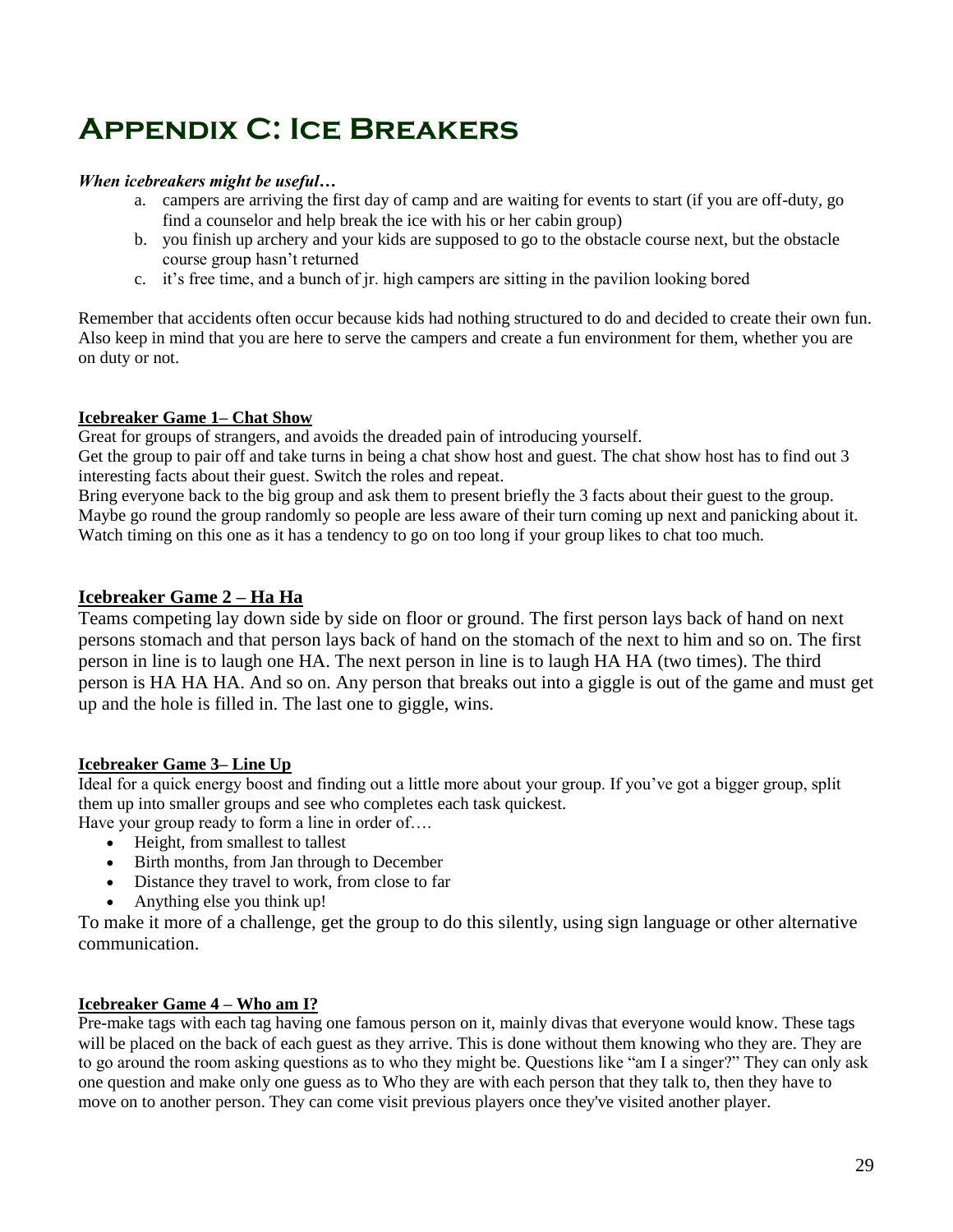## **Appendix C: Ice Breakers**

### *When icebreakers might be useful…*

- a. campers are arriving the first day of camp and are waiting for events to start (if you are off-duty, go find a counselor and help break the ice with his or her cabin group)
- b. you finish up archery and your kids are supposed to go to the obstacle course next, but the obstacle course group hasn't returned
- c. it's free time, and a bunch of jr. high campers are sitting in the pavilion looking bored

Remember that accidents often occur because kids had nothing structured to do and decided to create their own fun. Also keep in mind that you are here to serve the campers and create a fun environment for them, whether you are on duty or not.

## **Icebreaker Game 1– Chat Show**

Great for groups of strangers, and avoids the dreaded pain of introducing yourself.

Get the group to pair off and take turns in being a chat show host and guest. The chat show host has to find out 3 interesting facts about their guest. Switch the roles and repeat.

Bring everyone back to the big group and ask them to present briefly the 3 facts about their guest to the group. Maybe go round the group randomly so people are less aware of their turn coming up next and panicking about it. Watch timing on this one as it has a tendency to go on too long if your group likes to chat too much.

## **Icebreaker Game 2 – Ha Ha**

Teams competing lay down side by side on floor or ground. The first person lays back of hand on next persons stomach and that person lays back of hand on the stomach of the next to him and so on. The first person in line is to laugh one HA. The next person in line is to laugh HA HA (two times). The third person is HA HA HA. And so on. Any person that breaks out into a giggle is out of the game and must get up and the hole is filled in. The last one to giggle, wins.

## **Icebreaker Game 3– Line Up**

Ideal for a quick energy boost and finding out a little more about your group. If you've got a bigger group, split them up into smaller groups and see who completes each task quickest. Have your group ready to form a line in order of....

- Height, from smallest to tallest
- Birth months, from Jan through to December
- Distance they travel to work, from close to far
- Anything else you think up!

To make it more of a challenge, get the group to do this silently, using sign language or other alternative communication.

## **Icebreaker Game 4 – Who am I?**

Pre-make tags with each tag having one famous person on it, mainly divas that everyone would know. These tags will be placed on the back of each guest as they arrive. This is done without them knowing who they are. They are to go around the room asking questions as to who they might be. Questions like "am I a singer?" They can only ask one question and make only one guess as to Who they are with each person that they talk to, then they have to move on to another person. They can come visit previous players once they've visited another player.